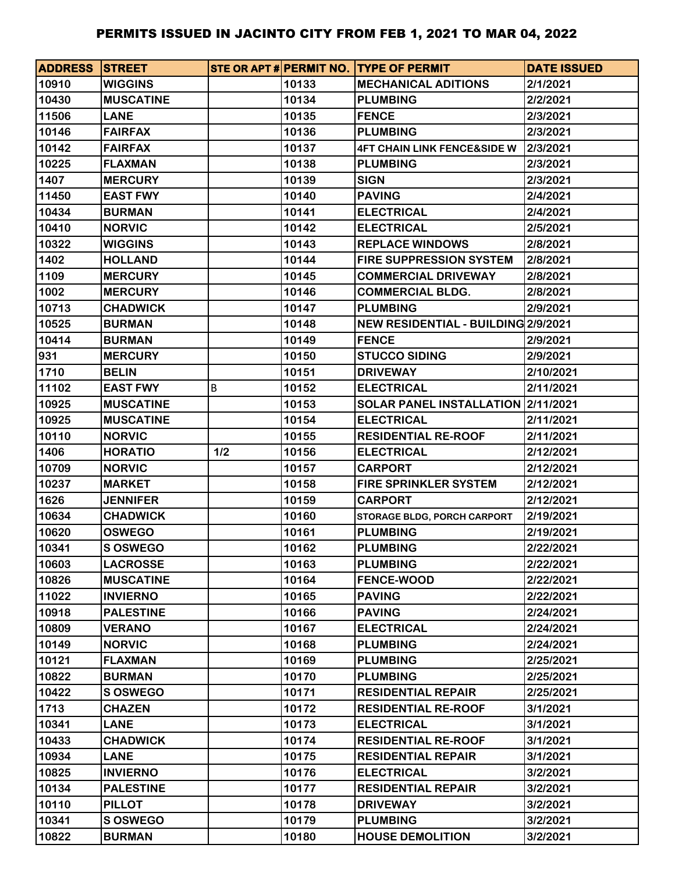| <b>ADDRESS STREET</b> |                  |     |       | STE OR APT # PERMIT NO. TYPE OF PERMIT | <b>DATE ISSUED</b> |
|-----------------------|------------------|-----|-------|----------------------------------------|--------------------|
| 10910                 | <b>WIGGINS</b>   |     | 10133 | <b>MECHANICAL ADITIONS</b>             | 2/1/2021           |
| 10430                 | <b>MUSCATINE</b> |     | 10134 | <b>PLUMBING</b>                        | 2/2/2021           |
| 11506                 | <b>LANE</b>      |     | 10135 | <b>FENCE</b>                           | 2/3/2021           |
| 10146                 | <b>FAIRFAX</b>   |     | 10136 | <b>PLUMBING</b>                        | 2/3/2021           |
| 10142                 | <b>FAIRFAX</b>   |     | 10137 | <b>4FT CHAIN LINK FENCE&amp;SIDE W</b> | 2/3/2021           |
| 10225                 | <b>FLAXMAN</b>   |     | 10138 | <b>PLUMBING</b>                        | 2/3/2021           |
| 1407                  | <b>MERCURY</b>   |     | 10139 | <b>SIGN</b>                            | 2/3/2021           |
| 11450                 | <b>EAST FWY</b>  |     | 10140 | <b>PAVING</b>                          | 2/4/2021           |
| 10434                 | <b>BURMAN</b>    |     | 10141 | <b>ELECTRICAL</b>                      | 2/4/2021           |
| 10410                 | <b>NORVIC</b>    |     | 10142 | <b>ELECTRICAL</b>                      | 2/5/2021           |
| 10322                 | <b>WIGGINS</b>   |     | 10143 | <b>REPLACE WINDOWS</b>                 | 2/8/2021           |
| 1402                  | <b>HOLLAND</b>   |     | 10144 | <b>FIRE SUPPRESSION SYSTEM</b>         | 2/8/2021           |
| 1109                  | <b>MERCURY</b>   |     | 10145 | <b>COMMERCIAL DRIVEWAY</b>             | 2/8/2021           |
| 1002                  | <b>MERCURY</b>   |     | 10146 | <b>COMMERCIAL BLDG.</b>                | 2/8/2021           |
| 10713                 | <b>CHADWICK</b>  |     | 10147 | <b>PLUMBING</b>                        | 2/9/2021           |
| 10525                 | <b>BURMAN</b>    |     | 10148 | NEW RESIDENTIAL - BUILDING 2/9/2021    |                    |
| 10414                 | <b>BURMAN</b>    |     | 10149 | <b>FENCE</b>                           | 2/9/2021           |
| 931                   | <b>MERCURY</b>   |     | 10150 | <b>STUCCO SIDING</b>                   | 2/9/2021           |
| 1710                  | <b>BELIN</b>     |     | 10151 | <b>DRIVEWAY</b>                        | 2/10/2021          |
| 11102                 | <b>EAST FWY</b>  | В   | 10152 | <b>ELECTRICAL</b>                      | 2/11/2021          |
| 10925                 | <b>MUSCATINE</b> |     | 10153 | SOLAR PANEL INSTALLATION 2/11/2021     |                    |
| 10925                 | <b>MUSCATINE</b> |     | 10154 | <b>ELECTRICAL</b>                      | 2/11/2021          |
| 10110                 | <b>NORVIC</b>    |     | 10155 | <b>RESIDENTIAL RE-ROOF</b>             | 2/11/2021          |
| 1406                  | <b>HORATIO</b>   | 1/2 | 10156 | <b>ELECTRICAL</b>                      | 2/12/2021          |
| 10709                 | <b>NORVIC</b>    |     | 10157 | <b>CARPORT</b>                         | 2/12/2021          |
| 10237                 | <b>MARKET</b>    |     | 10158 | <b>FIRE SPRINKLER SYSTEM</b>           | 2/12/2021          |
| 1626                  | <b>JENNIFER</b>  |     | 10159 | <b>CARPORT</b>                         | 2/12/2021          |
| 10634                 | <b>CHADWICK</b>  |     | 10160 | STORAGE BLDG, PORCH CARPORT            | 2/19/2021          |
| 10620                 | <b>OSWEGO</b>    |     | 10161 | <b>PLUMBING</b>                        | 2/19/2021          |
| 10341                 | <b>S OSWEGO</b>  |     | 10162 | <b>PLUMBING</b>                        | 2/22/2021          |
| 10603                 | <b>LACROSSE</b>  |     | 10163 | <b>PLUMBING</b>                        | 2/22/2021          |
| 10826                 | <b>MUSCATINE</b> |     | 10164 | <b>FENCE-WOOD</b>                      | 2/22/2021          |
| 11022                 | <b>INVIERNO</b>  |     | 10165 | <b>PAVING</b>                          | 2/22/2021          |
| 10918                 | <b>PALESTINE</b> |     | 10166 | <b>PAVING</b>                          | 2/24/2021          |
| 10809                 | <b>VERANO</b>    |     | 10167 | <b>ELECTRICAL</b>                      | 2/24/2021          |
| 10149                 | <b>NORVIC</b>    |     | 10168 | <b>PLUMBING</b>                        | 2/24/2021          |
| 10121                 | <b>FLAXMAN</b>   |     | 10169 | <b>PLUMBING</b>                        | 2/25/2021          |
| 10822                 | <b>BURMAN</b>    |     | 10170 | <b>PLUMBING</b>                        | 2/25/2021          |
| 10422                 | <b>S OSWEGO</b>  |     | 10171 | <b>RESIDENTIAL REPAIR</b>              | 2/25/2021          |
| 1713                  | <b>CHAZEN</b>    |     | 10172 | <b>RESIDENTIAL RE-ROOF</b>             | 3/1/2021           |
| 10341                 | <b>LANE</b>      |     | 10173 | <b>ELECTRICAL</b>                      | 3/1/2021           |
| 10433                 | <b>CHADWICK</b>  |     | 10174 | <b>RESIDENTIAL RE-ROOF</b>             | 3/1/2021           |
| 10934                 | <b>LANE</b>      |     | 10175 | <b>RESIDENTIAL REPAIR</b>              | 3/1/2021           |
| 10825                 | <b>INVIERNO</b>  |     | 10176 | <b>ELECTRICAL</b>                      | 3/2/2021           |
| 10134                 | <b>PALESTINE</b> |     | 10177 | <b>RESIDENTIAL REPAIR</b>              | 3/2/2021           |
| 10110                 | <b>PILLOT</b>    |     | 10178 | <b>DRIVEWAY</b>                        | 3/2/2021           |
| 10341                 | <b>S OSWEGO</b>  |     | 10179 | <b>PLUMBING</b>                        | 3/2/2021           |
| 10822                 | <b>BURMAN</b>    |     | 10180 | <b>HOUSE DEMOLITION</b>                | 3/2/2021           |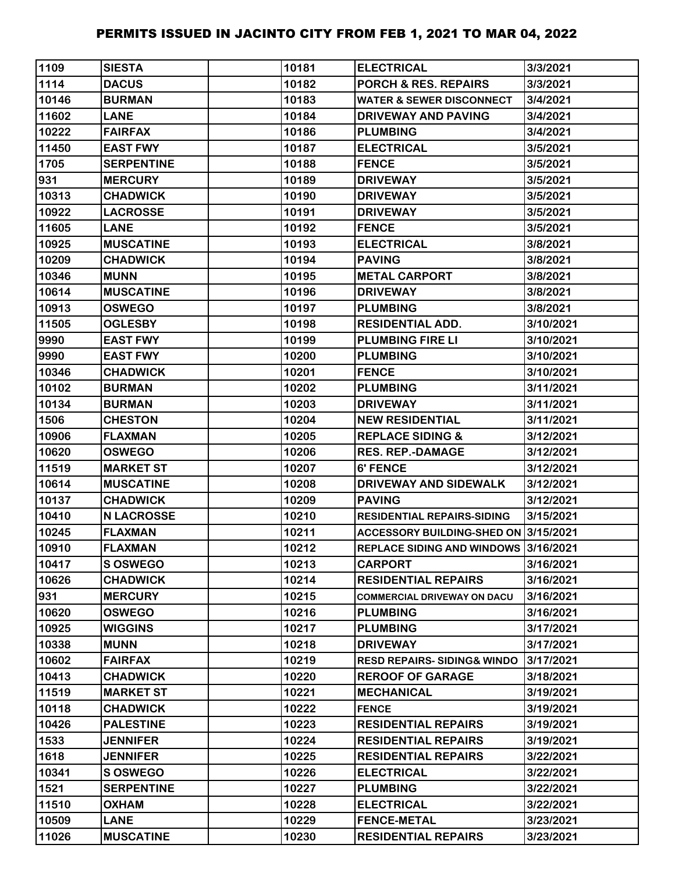| 1109  | <b>SIESTA</b>     | 10181 | <b>ELECTRICAL</b>                     | 3/3/2021  |
|-------|-------------------|-------|---------------------------------------|-----------|
| 1114  | <b>DACUS</b>      | 10182 | <b>PORCH &amp; RES. REPAIRS</b>       | 3/3/2021  |
| 10146 | <b>BURMAN</b>     | 10183 | <b>WATER &amp; SEWER DISCONNECT</b>   | 3/4/2021  |
| 11602 | <b>LANE</b>       | 10184 | <b>DRIVEWAY AND PAVING</b>            | 3/4/2021  |
| 10222 | <b>FAIRFAX</b>    | 10186 | <b>PLUMBING</b>                       | 3/4/2021  |
| 11450 | <b>EAST FWY</b>   | 10187 | <b>ELECTRICAL</b>                     | 3/5/2021  |
| 1705  | <b>SERPENTINE</b> | 10188 | <b>FENCE</b>                          | 3/5/2021  |
| 931   | <b>MERCURY</b>    | 10189 | <b>DRIVEWAY</b>                       | 3/5/2021  |
| 10313 | <b>CHADWICK</b>   | 10190 | <b>DRIVEWAY</b>                       | 3/5/2021  |
| 10922 | <b>LACROSSE</b>   | 10191 | <b>DRIVEWAY</b>                       | 3/5/2021  |
| 11605 | <b>LANE</b>       | 10192 | <b>FENCE</b>                          | 3/5/2021  |
| 10925 | <b>MUSCATINE</b>  | 10193 | <b>ELECTRICAL</b>                     | 3/8/2021  |
| 10209 | <b>CHADWICK</b>   | 10194 | <b>PAVING</b>                         | 3/8/2021  |
| 10346 | <b>MUNN</b>       | 10195 | <b>METAL CARPORT</b>                  | 3/8/2021  |
| 10614 | <b>MUSCATINE</b>  | 10196 | <b>DRIVEWAY</b>                       | 3/8/2021  |
| 10913 | <b>OSWEGO</b>     | 10197 | <b>PLUMBING</b>                       | 3/8/2021  |
| 11505 | <b>OGLESBY</b>    | 10198 | <b>RESIDENTIAL ADD.</b>               | 3/10/2021 |
| 9990  | <b>EAST FWY</b>   | 10199 | <b>PLUMBING FIRE LI</b>               | 3/10/2021 |
| 9990  | <b>EAST FWY</b>   | 10200 | <b>PLUMBING</b>                       | 3/10/2021 |
| 10346 | <b>CHADWICK</b>   | 10201 | <b>FENCE</b>                          | 3/10/2021 |
| 10102 | <b>BURMAN</b>     | 10202 | <b>PLUMBING</b>                       | 3/11/2021 |
| 10134 | <b>BURMAN</b>     | 10203 | <b>DRIVEWAY</b>                       | 3/11/2021 |
| 1506  | <b>CHESTON</b>    | 10204 | <b>NEW RESIDENTIAL</b>                | 3/11/2021 |
| 10906 | <b>FLAXMAN</b>    | 10205 | <b>REPLACE SIDING &amp;</b>           | 3/12/2021 |
| 10620 | <b>OSWEGO</b>     | 10206 | <b>RES. REP.-DAMAGE</b>               | 3/12/2021 |
| 11519 | <b>MARKET ST</b>  | 10207 | 6' FENCE                              | 3/12/2021 |
| 10614 | <b>MUSCATINE</b>  | 10208 | DRIVEWAY AND SIDEWALK                 | 3/12/2021 |
| 10137 | <b>CHADWICK</b>   | 10209 | <b>PAVING</b>                         | 3/12/2021 |
| 10410 | <b>N LACROSSE</b> | 10210 | <b>RESIDENTIAL REPAIRS-SIDING</b>     | 3/15/2021 |
| 10245 | <b>FLAXMAN</b>    | 10211 | ACCESSORY BUILDING-SHED ON 3/15/2021  |           |
| 10910 | <b>FLAXMAN</b>    | 10212 | REPLACE SIDING AND WINDOWS 3/16/2021  |           |
| 10417 | <b>S OSWEGO</b>   | 10213 | <b>CARPORT</b>                        | 3/16/2021 |
| 10626 | <b>CHADWICK</b>   | 10214 | <b>RESIDENTIAL REPAIRS</b>            | 3/16/2021 |
| 931   | <b>MERCURY</b>    | 10215 | <b>COMMERCIAL DRIVEWAY ON DACU</b>    | 3/16/2021 |
| 10620 | <b>OSWEGO</b>     | 10216 | <b>PLUMBING</b>                       | 3/16/2021 |
| 10925 | <b>WIGGINS</b>    | 10217 | <b>PLUMBING</b>                       | 3/17/2021 |
| 10338 | <b>MUNN</b>       | 10218 | <b>DRIVEWAY</b>                       | 3/17/2021 |
| 10602 | <b>FAIRFAX</b>    | 10219 | <b>RESD REPAIRS-SIDING&amp; WINDO</b> | 3/17/2021 |
| 10413 | <b>CHADWICK</b>   | 10220 | <b>REROOF OF GARAGE</b>               | 3/18/2021 |
| 11519 | <b>MARKET ST</b>  | 10221 | <b>MECHANICAL</b>                     | 3/19/2021 |
| 10118 | <b>CHADWICK</b>   | 10222 | <b>FENCE</b>                          | 3/19/2021 |
| 10426 | <b>PALESTINE</b>  | 10223 | <b>RESIDENTIAL REPAIRS</b>            | 3/19/2021 |
| 1533  | <b>JENNIFER</b>   | 10224 | <b>RESIDENTIAL REPAIRS</b>            | 3/19/2021 |
| 1618  | <b>JENNIFER</b>   | 10225 | <b>RESIDENTIAL REPAIRS</b>            | 3/22/2021 |
| 10341 | S OSWEGO          | 10226 | <b>ELECTRICAL</b>                     | 3/22/2021 |
| 1521  | <b>SERPENTINE</b> | 10227 | <b>PLUMBING</b>                       | 3/22/2021 |
| 11510 | <b>OXHAM</b>      | 10228 | <b>ELECTRICAL</b>                     | 3/22/2021 |
| 10509 | <b>LANE</b>       | 10229 | <b>FENCE-METAL</b>                    | 3/23/2021 |
| 11026 | <b>MUSCATINE</b>  | 10230 | <b>RESIDENTIAL REPAIRS</b>            | 3/23/2021 |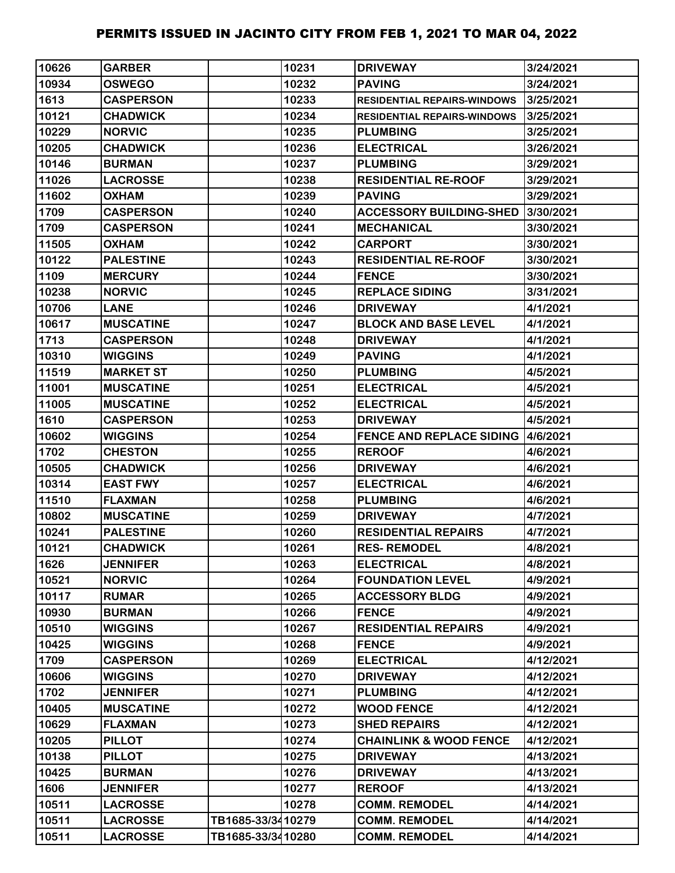| 10626 | <b>GARBER</b>    |                   | 10231 | <b>DRIVEWAY</b>                    | 3/24/2021 |
|-------|------------------|-------------------|-------|------------------------------------|-----------|
| 10934 | <b>OSWEGO</b>    |                   | 10232 | <b>PAVING</b>                      | 3/24/2021 |
| 1613  | <b>CASPERSON</b> |                   | 10233 | <b>RESIDENTIAL REPAIRS-WINDOWS</b> | 3/25/2021 |
| 10121 | <b>CHADWICK</b>  |                   | 10234 | <b>RESIDENTIAL REPAIRS-WINDOWS</b> | 3/25/2021 |
| 10229 | <b>NORVIC</b>    |                   | 10235 | <b>PLUMBING</b>                    | 3/25/2021 |
| 10205 | <b>CHADWICK</b>  |                   | 10236 | <b>ELECTRICAL</b>                  | 3/26/2021 |
| 10146 | <b>BURMAN</b>    |                   | 10237 | <b>PLUMBING</b>                    | 3/29/2021 |
| 11026 | <b>LACROSSE</b>  |                   | 10238 | <b>RESIDENTIAL RE-ROOF</b>         | 3/29/2021 |
| 11602 | <b>OXHAM</b>     |                   | 10239 | <b>PAVING</b>                      | 3/29/2021 |
| 1709  | <b>CASPERSON</b> |                   | 10240 | <b>ACCESSORY BUILDING-SHED</b>     | 3/30/2021 |
| 1709  | <b>CASPERSON</b> |                   | 10241 | <b>MECHANICAL</b>                  | 3/30/2021 |
| 11505 | <b>OXHAM</b>     |                   | 10242 | <b>CARPORT</b>                     | 3/30/2021 |
| 10122 | <b>PALESTINE</b> |                   | 10243 | <b>RESIDENTIAL RE-ROOF</b>         | 3/30/2021 |
| 1109  | <b>MERCURY</b>   |                   | 10244 | <b>FENCE</b>                       | 3/30/2021 |
| 10238 | <b>NORVIC</b>    |                   | 10245 | <b>REPLACE SIDING</b>              | 3/31/2021 |
| 10706 | <b>LANE</b>      |                   | 10246 | <b>DRIVEWAY</b>                    | 4/1/2021  |
| 10617 | <b>MUSCATINE</b> |                   | 10247 | <b>BLOCK AND BASE LEVEL</b>        | 4/1/2021  |
| 1713  | <b>CASPERSON</b> |                   | 10248 | <b>DRIVEWAY</b>                    | 4/1/2021  |
| 10310 | <b>WIGGINS</b>   |                   | 10249 | <b>PAVING</b>                      | 4/1/2021  |
| 11519 | <b>MARKET ST</b> |                   | 10250 | <b>PLUMBING</b>                    | 4/5/2021  |
| 11001 | <b>MUSCATINE</b> |                   | 10251 | <b>ELECTRICAL</b>                  | 4/5/2021  |
| 11005 | <b>MUSCATINE</b> |                   | 10252 | <b>ELECTRICAL</b>                  | 4/5/2021  |
| 1610  | <b>CASPERSON</b> |                   | 10253 | <b>DRIVEWAY</b>                    | 4/5/2021  |
| 10602 | <b>WIGGINS</b>   |                   | 10254 | <b>FENCE AND REPLACE SIDING</b>    | 4/6/2021  |
| 1702  | <b>CHESTON</b>   |                   | 10255 | <b>REROOF</b>                      | 4/6/2021  |
| 10505 | <b>CHADWICK</b>  |                   | 10256 | <b>DRIVEWAY</b>                    | 4/6/2021  |
| 10314 | <b>EAST FWY</b>  |                   | 10257 | <b>ELECTRICAL</b>                  | 4/6/2021  |
| 11510 | <b>FLAXMAN</b>   |                   | 10258 | <b>PLUMBING</b>                    | 4/6/2021  |
| 10802 | <b>MUSCATINE</b> |                   | 10259 | <b>DRIVEWAY</b>                    | 4/7/2021  |
| 10241 | <b>PALESTINE</b> |                   | 10260 | <b>RESIDENTIAL REPAIRS</b>         | 4/7/2021  |
| 10121 | <b>CHADWICK</b>  |                   | 10261 | <b>RES-REMODEL</b>                 | 4/8/2021  |
| 1626  | <b>JENNIFER</b>  |                   | 10263 | <b>ELECTRICAL</b>                  | 4/8/2021  |
| 10521 | <b>NORVIC</b>    |                   | 10264 | <b>FOUNDATION LEVEL</b>            | 4/9/2021  |
| 10117 | <b>RUMAR</b>     |                   | 10265 | <b>ACCESSORY BLDG</b>              | 4/9/2021  |
| 10930 | <b>BURMAN</b>    |                   | 10266 | <b>FENCE</b>                       | 4/9/2021  |
| 10510 | <b>WIGGINS</b>   |                   | 10267 | <b>RESIDENTIAL REPAIRS</b>         | 4/9/2021  |
| 10425 | <b>WIGGINS</b>   |                   | 10268 | <b>FENCE</b>                       | 4/9/2021  |
| 1709  | <b>CASPERSON</b> |                   | 10269 | <b>ELECTRICAL</b>                  | 4/12/2021 |
| 10606 | <b>WIGGINS</b>   |                   | 10270 | <b>DRIVEWAY</b>                    | 4/12/2021 |
| 1702  | <b>JENNIFER</b>  |                   | 10271 | <b>PLUMBING</b>                    | 4/12/2021 |
| 10405 | <b>MUSCATINE</b> |                   | 10272 | <b>WOOD FENCE</b>                  | 4/12/2021 |
| 10629 | <b>FLAXMAN</b>   |                   | 10273 | <b>SHED REPAIRS</b>                | 4/12/2021 |
| 10205 | <b>PILLOT</b>    |                   | 10274 | <b>CHAINLINK &amp; WOOD FENCE</b>  | 4/12/2021 |
| 10138 | <b>PILLOT</b>    |                   | 10275 | <b>DRIVEWAY</b>                    | 4/13/2021 |
| 10425 | <b>BURMAN</b>    |                   | 10276 | <b>DRIVEWAY</b>                    | 4/13/2021 |
| 1606  | <b>JENNIFER</b>  |                   | 10277 | <b>REROOF</b>                      | 4/13/2021 |
| 10511 | <b>LACROSSE</b>  |                   | 10278 | <b>COMM. REMODEL</b>               | 4/14/2021 |
| 10511 | <b>LACROSSE</b>  | TB1685-33/3410279 |       | <b>COMM. REMODEL</b>               | 4/14/2021 |
| 10511 | <b>LACROSSE</b>  | TB1685-33/3410280 |       | <b>COMM. REMODEL</b>               | 4/14/2021 |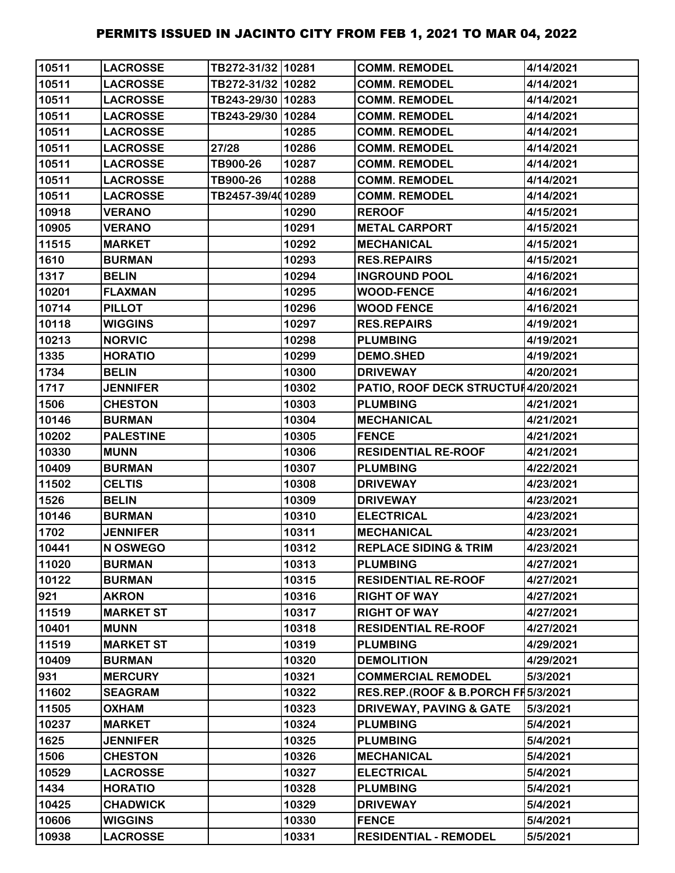| 10511 | <b>LACROSSE</b>  | TB272-31/32 10281 |       | <b>COMM. REMODEL</b>                | 4/14/2021 |
|-------|------------------|-------------------|-------|-------------------------------------|-----------|
| 10511 | <b>LACROSSE</b>  | TB272-31/32 10282 |       | <b>COMM. REMODEL</b>                | 4/14/2021 |
| 10511 | <b>LACROSSE</b>  | TB243-29/30 10283 |       | <b>COMM. REMODEL</b>                | 4/14/2021 |
| 10511 | <b>LACROSSE</b>  | TB243-29/30 10284 |       | <b>COMM. REMODEL</b>                | 4/14/2021 |
| 10511 | <b>LACROSSE</b>  |                   | 10285 | <b>COMM. REMODEL</b>                | 4/14/2021 |
| 10511 | <b>LACROSSE</b>  | 27/28             | 10286 | <b>COMM. REMODEL</b>                | 4/14/2021 |
| 10511 | <b>LACROSSE</b>  | TB900-26          | 10287 | <b>COMM. REMODEL</b>                | 4/14/2021 |
| 10511 | <b>LACROSSE</b>  | TB900-26          | 10288 | <b>COMM. REMODEL</b>                | 4/14/2021 |
| 10511 | <b>LACROSSE</b>  | TB2457-39/4010289 |       | <b>COMM. REMODEL</b>                | 4/14/2021 |
| 10918 | <b>VERANO</b>    |                   | 10290 | <b>REROOF</b>                       | 4/15/2021 |
| 10905 | <b>VERANO</b>    |                   | 10291 | <b>METAL CARPORT</b>                | 4/15/2021 |
| 11515 | <b>MARKET</b>    |                   | 10292 | <b>MECHANICAL</b>                   | 4/15/2021 |
| 1610  | <b>BURMAN</b>    |                   | 10293 | <b>RES.REPAIRS</b>                  | 4/15/2021 |
| 1317  | <b>BELIN</b>     |                   | 10294 | <b>INGROUND POOL</b>                | 4/16/2021 |
| 10201 | <b>FLAXMAN</b>   |                   | 10295 | <b>WOOD-FENCE</b>                   | 4/16/2021 |
| 10714 | <b>PILLOT</b>    |                   | 10296 | <b>WOOD FENCE</b>                   | 4/16/2021 |
| 10118 | <b>WIGGINS</b>   |                   | 10297 | <b>RES.REPAIRS</b>                  | 4/19/2021 |
| 10213 | <b>NORVIC</b>    |                   | 10298 | <b>PLUMBING</b>                     | 4/19/2021 |
| 1335  | <b>HORATIO</b>   |                   | 10299 | <b>DEMO.SHED</b>                    | 4/19/2021 |
| 1734  | <b>BELIN</b>     |                   | 10300 | <b>DRIVEWAY</b>                     | 4/20/2021 |
| 1717  | <b>JENNIFER</b>  |                   | 10302 | PATIO, ROOF DECK STRUCTUI 4/20/2021 |           |
| 1506  | <b>CHESTON</b>   |                   | 10303 | <b>PLUMBING</b>                     | 4/21/2021 |
| 10146 | <b>BURMAN</b>    |                   | 10304 | <b>MECHANICAL</b>                   | 4/21/2021 |
| 10202 | <b>PALESTINE</b> |                   | 10305 | <b>FENCE</b>                        | 4/21/2021 |
| 10330 | <b>MUNN</b>      |                   | 10306 | <b>RESIDENTIAL RE-ROOF</b>          | 4/21/2021 |
| 10409 | <b>BURMAN</b>    |                   | 10307 | <b>PLUMBING</b>                     | 4/22/2021 |
| 11502 | <b>CELTIS</b>    |                   | 10308 | <b>DRIVEWAY</b>                     | 4/23/2021 |
| 1526  | <b>BELIN</b>     |                   | 10309 | <b>DRIVEWAY</b>                     | 4/23/2021 |
| 10146 | <b>BURMAN</b>    |                   | 10310 | <b>ELECTRICAL</b>                   | 4/23/2021 |
| 1702  | <b>JENNIFER</b>  |                   | 10311 | <b>MECHANICAL</b>                   | 4/23/2021 |
| 10441 | N OSWEGO         |                   | 10312 | <b>REPLACE SIDING &amp; TRIM</b>    | 4/23/2021 |
| 11020 | <b>BURMAN</b>    |                   | 10313 | <b>PLUMBING</b>                     | 4/27/2021 |
| 10122 | <b>BURMAN</b>    |                   | 10315 | <b>RESIDENTIAL RE-ROOF</b>          | 4/27/2021 |
| 921   | <b>AKRON</b>     |                   | 10316 | <b>RIGHT OF WAY</b>                 | 4/27/2021 |
| 11519 | <b>MARKET ST</b> |                   | 10317 | <b>RIGHT OF WAY</b>                 | 4/27/2021 |
| 10401 | <b>MUNN</b>      |                   | 10318 | <b>RESIDENTIAL RE-ROOF</b>          | 4/27/2021 |
| 11519 | <b>MARKET ST</b> |                   | 10319 | <b>PLUMBING</b>                     | 4/29/2021 |
| 10409 | <b>BURMAN</b>    |                   | 10320 | <b>DEMOLITION</b>                   | 4/29/2021 |
| 931   | <b>MERCURY</b>   |                   | 10321 | <b>COMMERCIAL REMODEL</b>           | 5/3/2021  |
| 11602 | <b>SEAGRAM</b>   |                   | 10322 | RES.REP.(ROOF & B.PORCH FI5/3/2021  |           |
| 11505 | <b>OXHAM</b>     |                   | 10323 | <b>DRIVEWAY, PAVING &amp; GATE</b>  | 5/3/2021  |
| 10237 | <b>MARKET</b>    |                   | 10324 | <b>PLUMBING</b>                     | 5/4/2021  |
| 1625  | <b>JENNIFER</b>  |                   | 10325 | <b>PLUMBING</b>                     | 5/4/2021  |
| 1506  | <b>CHESTON</b>   |                   | 10326 | <b>MECHANICAL</b>                   | 5/4/2021  |
| 10529 | <b>LACROSSE</b>  |                   | 10327 | <b>ELECTRICAL</b>                   | 5/4/2021  |
| 1434  | <b>HORATIO</b>   |                   | 10328 | <b>PLUMBING</b>                     | 5/4/2021  |
| 10425 | <b>CHADWICK</b>  |                   | 10329 | <b>DRIVEWAY</b>                     | 5/4/2021  |
| 10606 | <b>WIGGINS</b>   |                   | 10330 | <b>FENCE</b>                        | 5/4/2021  |
| 10938 | <b>LACROSSE</b>  |                   | 10331 | <b>RESIDENTIAL - REMODEL</b>        | 5/5/2021  |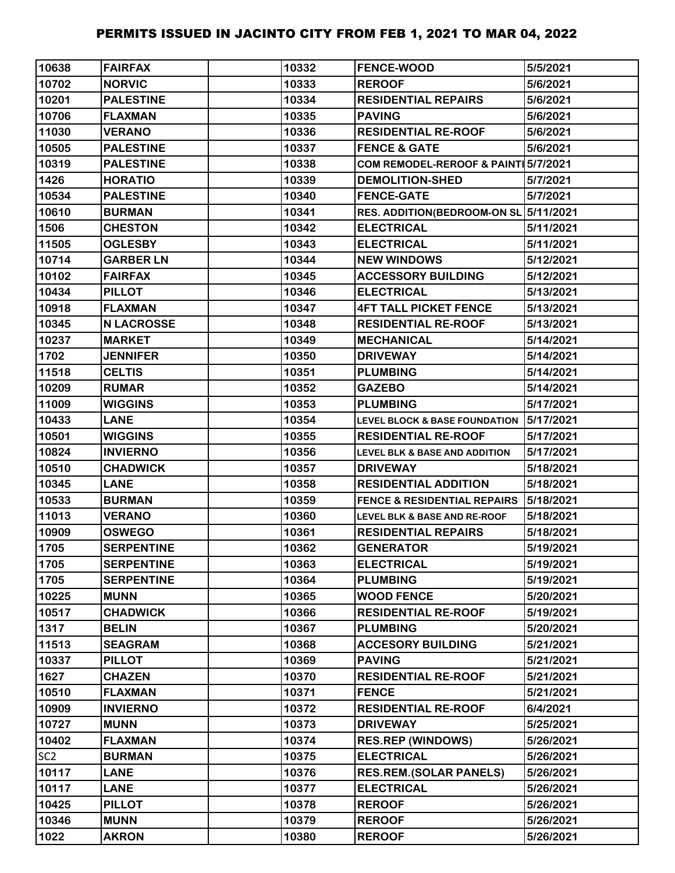| 10638           | <b>FAIRFAX</b>    | 10332 | <b>FENCE-WOOD</b>                        | 5/5/2021  |
|-----------------|-------------------|-------|------------------------------------------|-----------|
| 10702           | <b>NORVIC</b>     | 10333 | <b>REROOF</b>                            | 5/6/2021  |
| 10201           | <b>PALESTINE</b>  | 10334 | <b>RESIDENTIAL REPAIRS</b>               | 5/6/2021  |
| 10706           | <b>FLAXMAN</b>    | 10335 | <b>PAVING</b>                            | 5/6/2021  |
| 11030           | <b>VERANO</b>     | 10336 | <b>RESIDENTIAL RE-ROOF</b>               | 5/6/2021  |
| 10505           | <b>PALESTINE</b>  | 10337 | <b>FENCE &amp; GATE</b>                  | 5/6/2021  |
| 10319           | <b>PALESTINE</b>  | 10338 | COM REMODEL-REROOF & PAINT 5/7/2021      |           |
| 1426            | <b>HORATIO</b>    | 10339 | <b>DEMOLITION-SHED</b>                   | 5/7/2021  |
| 10534           | <b>PALESTINE</b>  | 10340 | <b>FENCE-GATE</b>                        | 5/7/2021  |
| 10610           | <b>BURMAN</b>     | 10341 | RES. ADDITION(BEDROOM-ON SL 5/11/2021    |           |
| 1506            | <b>CHESTON</b>    | 10342 | <b>ELECTRICAL</b>                        | 5/11/2021 |
| 11505           | <b>OGLESBY</b>    | 10343 | <b>ELECTRICAL</b>                        | 5/11/2021 |
| 10714           | <b>GARBER LN</b>  | 10344 | <b>NEW WINDOWS</b>                       | 5/12/2021 |
| 10102           | <b>FAIRFAX</b>    | 10345 | <b>ACCESSORY BUILDING</b>                | 5/12/2021 |
| 10434           | <b>PILLOT</b>     | 10346 | <b>ELECTRICAL</b>                        | 5/13/2021 |
| 10918           | <b>FLAXMAN</b>    | 10347 | <b>4FT TALL PICKET FENCE</b>             | 5/13/2021 |
| 10345           | <b>N LACROSSE</b> | 10348 | <b>RESIDENTIAL RE-ROOF</b>               | 5/13/2021 |
| 10237           | <b>MARKET</b>     | 10349 | <b>MECHANICAL</b>                        | 5/14/2021 |
| 1702            | <b>JENNIFER</b>   | 10350 | <b>DRIVEWAY</b>                          | 5/14/2021 |
| 11518           | <b>CELTIS</b>     | 10351 | <b>PLUMBING</b>                          | 5/14/2021 |
| 10209           | <b>RUMAR</b>      | 10352 | <b>GAZEBO</b>                            | 5/14/2021 |
| 11009           | <b>WIGGINS</b>    | 10353 | <b>PLUMBING</b>                          | 5/17/2021 |
| 10433           | <b>LANE</b>       | 10354 | <b>LEVEL BLOCK &amp; BASE FOUNDATION</b> | 5/17/2021 |
| 10501           | <b>WIGGINS</b>    | 10355 | <b>RESIDENTIAL RE-ROOF</b>               | 5/17/2021 |
| 10824           | <b>INVIERNO</b>   | 10356 | LEVEL BLK & BASE AND ADDITION            | 5/17/2021 |
| 10510           | <b>CHADWICK</b>   | 10357 | <b>DRIVEWAY</b>                          | 5/18/2021 |
| 10345           | <b>LANE</b>       | 10358 | <b>RESIDENTIAL ADDITION</b>              | 5/18/2021 |
| 10533           | <b>BURMAN</b>     | 10359 | <b>FENCE &amp; RESIDENTIAL REPAIRS</b>   | 5/18/2021 |
| 11013           | <b>VERANO</b>     | 10360 | <b>LEVEL BLK &amp; BASE AND RE-ROOF</b>  | 5/18/2021 |
| 10909           | <b>OSWEGO</b>     | 10361 | <b>RESIDENTIAL REPAIRS</b>               | 5/18/2021 |
| 1705            | <b>SERPENTINE</b> | 10362 | <b>GENERATOR</b>                         | 5/19/2021 |
| 1705            | <b>SERPENTINE</b> | 10363 | <b>ELECTRICAL</b>                        | 5/19/2021 |
| 1705            | <b>SERPENTINE</b> | 10364 | <b>PLUMBING</b>                          | 5/19/2021 |
| 10225           | <b>MUNN</b>       | 10365 | <b>WOOD FENCE</b>                        | 5/20/2021 |
| 10517           | <b>CHADWICK</b>   | 10366 | <b>RESIDENTIAL RE-ROOF</b>               | 5/19/2021 |
| 1317            | <b>BELIN</b>      | 10367 | <b>PLUMBING</b>                          | 5/20/2021 |
| 11513           | <b>SEAGRAM</b>    | 10368 | <b>ACCESORY BUILDING</b>                 | 5/21/2021 |
| 10337           | <b>PILLOT</b>     | 10369 | <b>PAVING</b>                            | 5/21/2021 |
| 1627            | <b>CHAZEN</b>     | 10370 | <b>RESIDENTIAL RE-ROOF</b>               | 5/21/2021 |
| 10510           | <b>FLAXMAN</b>    | 10371 | <b>FENCE</b>                             | 5/21/2021 |
| 10909           | <b>INVIERNO</b>   | 10372 | <b>RESIDENTIAL RE-ROOF</b>               | 6/4/2021  |
| 10727           | <b>MUNN</b>       | 10373 | <b>DRIVEWAY</b>                          | 5/25/2021 |
| 10402           | <b>FLAXMAN</b>    | 10374 | <b>RES.REP (WINDOWS)</b>                 | 5/26/2021 |
| SC <sub>2</sub> | <b>BURMAN</b>     | 10375 | <b>ELECTRICAL</b>                        | 5/26/2021 |
| 10117           | <b>LANE</b>       | 10376 | <b>RES.REM.(SOLAR PANELS)</b>            | 5/26/2021 |
| 10117           | <b>LANE</b>       | 10377 | <b>ELECTRICAL</b>                        | 5/26/2021 |
| 10425           | <b>PILLOT</b>     | 10378 | <b>REROOF</b>                            | 5/26/2021 |
| 10346           | <b>MUNN</b>       | 10379 | <b>REROOF</b>                            | 5/26/2021 |
| 1022            | <b>AKRON</b>      | 10380 | <b>REROOF</b>                            | 5/26/2021 |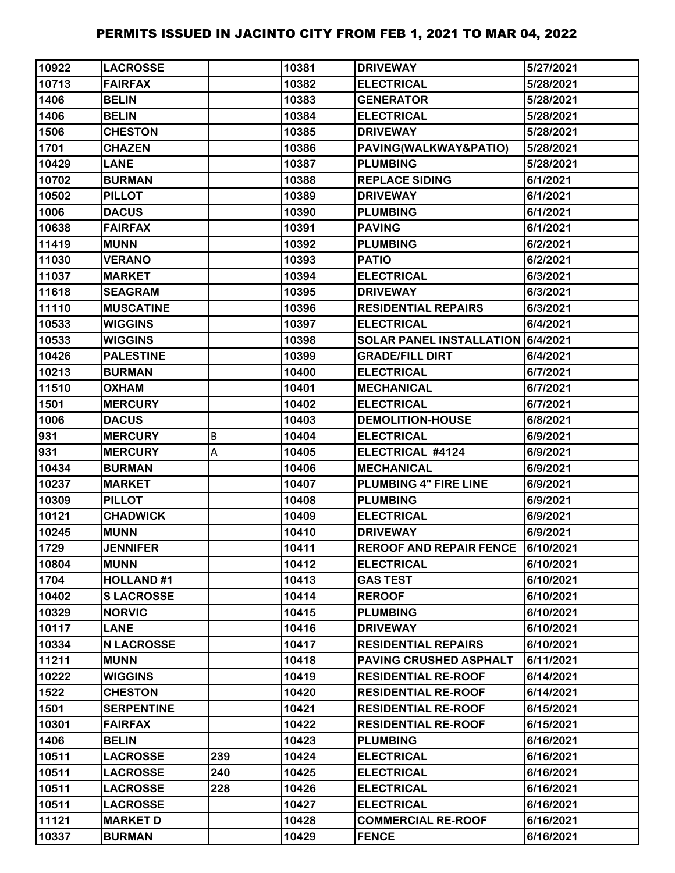| 10922 | <b>LACROSSE</b>   |     | 10381 | <b>DRIVEWAY</b>                   | 5/27/2021 |
|-------|-------------------|-----|-------|-----------------------------------|-----------|
| 10713 | <b>FAIRFAX</b>    |     | 10382 | <b>ELECTRICAL</b>                 | 5/28/2021 |
| 1406  | <b>BELIN</b>      |     | 10383 | <b>GENERATOR</b>                  | 5/28/2021 |
| 1406  | <b>BELIN</b>      |     | 10384 | <b>ELECTRICAL</b>                 | 5/28/2021 |
| 1506  | <b>CHESTON</b>    |     | 10385 | <b>DRIVEWAY</b>                   | 5/28/2021 |
| 1701  | <b>CHAZEN</b>     |     | 10386 | PAVING(WALKWAY&PATIO)             | 5/28/2021 |
| 10429 | <b>LANE</b>       |     | 10387 | <b>PLUMBING</b>                   | 5/28/2021 |
| 10702 | <b>BURMAN</b>     |     | 10388 | <b>REPLACE SIDING</b>             | 6/1/2021  |
| 10502 | <b>PILLOT</b>     |     | 10389 | <b>DRIVEWAY</b>                   | 6/1/2021  |
| 1006  | <b>DACUS</b>      |     | 10390 | <b>PLUMBING</b>                   | 6/1/2021  |
| 10638 | <b>FAIRFAX</b>    |     | 10391 | <b>PAVING</b>                     | 6/1/2021  |
| 11419 | <b>MUNN</b>       |     | 10392 | <b>PLUMBING</b>                   | 6/2/2021  |
| 11030 | <b>VERANO</b>     |     | 10393 | <b>PATIO</b>                      | 6/2/2021  |
| 11037 | <b>MARKET</b>     |     | 10394 | <b>ELECTRICAL</b>                 | 6/3/2021  |
| 11618 | <b>SEAGRAM</b>    |     | 10395 | <b>DRIVEWAY</b>                   | 6/3/2021  |
| 11110 | <b>MUSCATINE</b>  |     | 10396 | <b>RESIDENTIAL REPAIRS</b>        | 6/3/2021  |
| 10533 | <b>WIGGINS</b>    |     | 10397 | <b>ELECTRICAL</b>                 | 6/4/2021  |
| 10533 | <b>WIGGINS</b>    |     | 10398 | SOLAR PANEL INSTALLATION 6/4/2021 |           |
| 10426 | <b>PALESTINE</b>  |     | 10399 | <b>GRADE/FILL DIRT</b>            | 6/4/2021  |
| 10213 | <b>BURMAN</b>     |     | 10400 | <b>ELECTRICAL</b>                 | 6/7/2021  |
| 11510 | <b>OXHAM</b>      |     | 10401 | <b>MECHANICAL</b>                 | 6/7/2021  |
| 1501  | <b>MERCURY</b>    |     | 10402 | <b>ELECTRICAL</b>                 | 6/7/2021  |
| 1006  | <b>DACUS</b>      |     | 10403 | <b>DEMOLITION-HOUSE</b>           | 6/8/2021  |
| 931   | <b>MERCURY</b>    | B   | 10404 | <b>ELECTRICAL</b>                 | 6/9/2021  |
| 931   | <b>MERCURY</b>    | A   | 10405 | ELECTRICAL #4124                  | 6/9/2021  |
| 10434 | <b>BURMAN</b>     |     | 10406 | <b>MECHANICAL</b>                 | 6/9/2021  |
| 10237 | <b>MARKET</b>     |     | 10407 | PLUMBING 4" FIRE LINE             | 6/9/2021  |
| 10309 | <b>PILLOT</b>     |     | 10408 | <b>PLUMBING</b>                   | 6/9/2021  |
| 10121 | <b>CHADWICK</b>   |     | 10409 | <b>ELECTRICAL</b>                 | 6/9/2021  |
| 10245 | <b>MUNN</b>       |     | 10410 | <b>DRIVEWAY</b>                   | 6/9/2021  |
| 1729  | <b>JENNIFER</b>   |     | 10411 | <b>REROOF AND REPAIR FENCE</b>    | 6/10/2021 |
| 10804 | <b>MUNN</b>       |     | 10412 | <b>ELECTRICAL</b>                 | 6/10/2021 |
| 1704  | <b>HOLLAND#1</b>  |     | 10413 | <b>GAS TEST</b>                   | 6/10/2021 |
| 10402 | <b>SLACROSSE</b>  |     | 10414 | <b>REROOF</b>                     | 6/10/2021 |
| 10329 | <b>NORVIC</b>     |     | 10415 | <b>PLUMBING</b>                   | 6/10/2021 |
| 10117 | <b>LANE</b>       |     | 10416 | <b>DRIVEWAY</b>                   | 6/10/2021 |
| 10334 | <b>N LACROSSE</b> |     | 10417 | <b>RESIDENTIAL REPAIRS</b>        | 6/10/2021 |
| 11211 | <b>MUNN</b>       |     | 10418 | <b>PAVING CRUSHED ASPHALT</b>     | 6/11/2021 |
| 10222 | <b>WIGGINS</b>    |     | 10419 | <b>RESIDENTIAL RE-ROOF</b>        | 6/14/2021 |
| 1522  | <b>CHESTON</b>    |     | 10420 | <b>RESIDENTIAL RE-ROOF</b>        | 6/14/2021 |
| 1501  | <b>SERPENTINE</b> |     | 10421 | <b>RESIDENTIAL RE-ROOF</b>        | 6/15/2021 |
| 10301 | <b>FAIRFAX</b>    |     | 10422 | <b>RESIDENTIAL RE-ROOF</b>        | 6/15/2021 |
| 1406  | <b>BELIN</b>      |     | 10423 | <b>PLUMBING</b>                   | 6/16/2021 |
| 10511 | <b>LACROSSE</b>   | 239 | 10424 | <b>ELECTRICAL</b>                 | 6/16/2021 |
| 10511 | <b>LACROSSE</b>   | 240 | 10425 | <b>ELECTRICAL</b>                 | 6/16/2021 |
| 10511 | <b>LACROSSE</b>   | 228 | 10426 | <b>ELECTRICAL</b>                 | 6/16/2021 |
| 10511 | <b>LACROSSE</b>   |     | 10427 | <b>ELECTRICAL</b>                 | 6/16/2021 |
| 11121 | <b>MARKET D</b>   |     | 10428 | <b>COMMERCIAL RE-ROOF</b>         | 6/16/2021 |
| 10337 | <b>BURMAN</b>     |     | 10429 | <b>FENCE</b>                      | 6/16/2021 |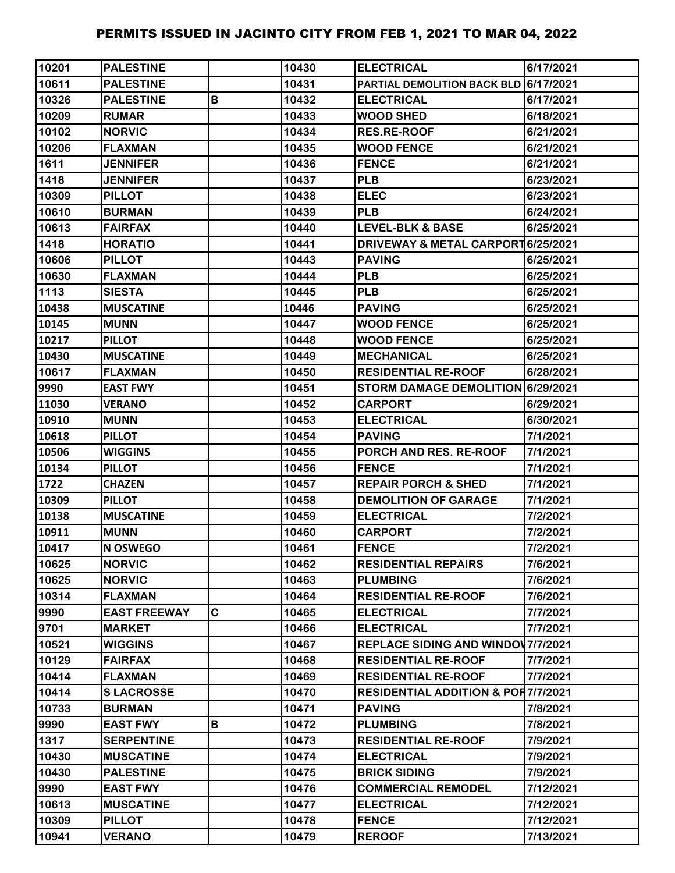| 10201 | <b>PALESTINE</b>    |   | 10430 | <b>ELECTRICAL</b>                             | 6/17/2021 |
|-------|---------------------|---|-------|-----------------------------------------------|-----------|
| 10611 | <b>PALESTINE</b>    |   | 10431 | <b>PARTIAL DEMOLITION BACK BLD 6/17/2021</b>  |           |
| 10326 | <b>PALESTINE</b>    | B | 10432 | <b>ELECTRICAL</b>                             | 6/17/2021 |
| 10209 | <b>RUMAR</b>        |   | 10433 | <b>WOOD SHED</b>                              | 6/18/2021 |
| 10102 | <b>NORVIC</b>       |   | 10434 | <b>RES.RE-ROOF</b>                            | 6/21/2021 |
| 10206 | <b>FLAXMAN</b>      |   | 10435 | <b>WOOD FENCE</b>                             | 6/21/2021 |
| 1611  | <b>JENNIFER</b>     |   | 10436 | <b>FENCE</b>                                  | 6/21/2021 |
| 1418  | <b>JENNIFER</b>     |   | 10437 | <b>PLB</b>                                    | 6/23/2021 |
| 10309 | <b>PILLOT</b>       |   | 10438 | <b>ELEC</b>                                   | 6/23/2021 |
| 10610 | <b>BURMAN</b>       |   | 10439 | <b>PLB</b>                                    | 6/24/2021 |
| 10613 | <b>FAIRFAX</b>      |   | 10440 | <b>LEVEL-BLK &amp; BASE</b>                   | 6/25/2021 |
| 1418  | <b>HORATIO</b>      |   | 10441 | DRIVEWAY & METAL CARPORT 6/25/2021            |           |
| 10606 | <b>PILLOT</b>       |   | 10443 | <b>PAVING</b>                                 | 6/25/2021 |
| 10630 | <b>FLAXMAN</b>      |   | 10444 | <b>PLB</b>                                    | 6/25/2021 |
| 1113  | <b>SIESTA</b>       |   | 10445 | <b>PLB</b>                                    | 6/25/2021 |
| 10438 | <b>MUSCATINE</b>    |   | 10446 | <b>PAVING</b>                                 | 6/25/2021 |
| 10145 | <b>MUNN</b>         |   | 10447 | <b>WOOD FENCE</b>                             | 6/25/2021 |
| 10217 | <b>PILLOT</b>       |   | 10448 | <b>WOOD FENCE</b>                             | 6/25/2021 |
| 10430 | <b>MUSCATINE</b>    |   | 10449 | <b>MECHANICAL</b>                             | 6/25/2021 |
| 10617 | <b>FLAXMAN</b>      |   | 10450 | <b>RESIDENTIAL RE-ROOF</b>                    | 6/28/2021 |
| 9990  | <b>EAST FWY</b>     |   | 10451 | STORM DAMAGE DEMOLITION 6/29/2021             |           |
| 11030 | <b>VERANO</b>       |   | 10452 | <b>CARPORT</b>                                | 6/29/2021 |
| 10910 | <b>MUNN</b>         |   | 10453 | <b>ELECTRICAL</b>                             | 6/30/2021 |
| 10618 | <b>PILLOT</b>       |   | 10454 | <b>PAVING</b>                                 | 7/1/2021  |
| 10506 | <b>WIGGINS</b>      |   | 10455 | PORCH AND RES. RE-ROOF                        | 7/1/2021  |
| 10134 | <b>PILLOT</b>       |   | 10456 | <b>FENCE</b>                                  | 7/1/2021  |
| 1722  | <b>CHAZEN</b>       |   | 10457 | <b>REPAIR PORCH &amp; SHED</b>                | 7/1/2021  |
| 10309 | <b>PILLOT</b>       |   | 10458 | <b>DEMOLITION OF GARAGE</b>                   | 7/1/2021  |
| 10138 | <b>MUSCATINE</b>    |   | 10459 | <b>ELECTRICAL</b>                             | 7/2/2021  |
| 10911 | <b>MUNN</b>         |   | 10460 | <b>CARPORT</b>                                | 7/2/2021  |
| 10417 | N OSWEGO            |   | 10461 | <b>FENCE</b>                                  | 7/2/2021  |
| 10625 | <b>NORVIC</b>       |   | 10462 | <b>RESIDENTIAL REPAIRS</b>                    | 7/6/2021  |
| 10625 | <b>NORVIC</b>       |   | 10463 | <b>PLUMBING</b>                               | 7/6/2021  |
| 10314 | <b>FLAXMAN</b>      |   | 10464 | <b>RESIDENTIAL RE-ROOF</b>                    | 7/6/2021  |
| 9990  | <b>EAST FREEWAY</b> | C | 10465 | <b>ELECTRICAL</b>                             | 7/7/2021  |
| 9701  | <b>MARKET</b>       |   | 10466 | <b>ELECTRICAL</b>                             | 7/7/2021  |
| 10521 | <b>WIGGINS</b>      |   | 10467 | REPLACE SIDING AND WINDOW 7/7/2021            |           |
| 10129 | <b>FAIRFAX</b>      |   | 10468 | <b>RESIDENTIAL RE-ROOF</b>                    | 7/7/2021  |
| 10414 | <b>FLAXMAN</b>      |   | 10469 | <b>RESIDENTIAL RE-ROOF</b>                    | 7/7/2021  |
| 10414 | <b>SLACROSSE</b>    |   | 10470 | <b>RESIDENTIAL ADDITION &amp; POR7/7/2021</b> |           |
| 10733 | <b>BURMAN</b>       |   | 10471 | <b>PAVING</b>                                 | 7/8/2021  |
| 9990  | <b>EAST FWY</b>     | B | 10472 | <b>PLUMBING</b>                               | 7/8/2021  |
| 1317  | <b>SERPENTINE</b>   |   | 10473 | <b>RESIDENTIAL RE-ROOF</b>                    | 7/9/2021  |
| 10430 | <b>MUSCATINE</b>    |   | 10474 | <b>ELECTRICAL</b>                             | 7/9/2021  |
| 10430 | <b>PALESTINE</b>    |   | 10475 | <b>BRICK SIDING</b>                           | 7/9/2021  |
| 9990  | <b>EAST FWY</b>     |   | 10476 | <b>COMMERCIAL REMODEL</b>                     | 7/12/2021 |
| 10613 | <b>MUSCATINE</b>    |   | 10477 | <b>ELECTRICAL</b>                             | 7/12/2021 |
| 10309 | <b>PILLOT</b>       |   | 10478 | <b>FENCE</b>                                  | 7/12/2021 |
| 10941 | <b>VERANO</b>       |   | 10479 | <b>REROOF</b>                                 | 7/13/2021 |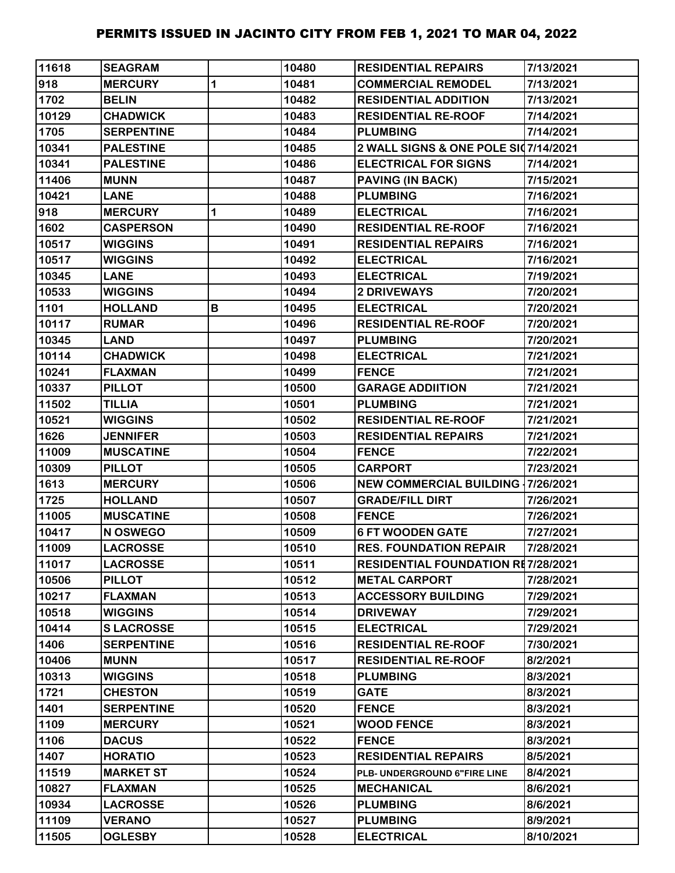| 11618 | <b>SEAGRAM</b>    |   | 10480 | <b>RESIDENTIAL REPAIRS</b>                | 7/13/2021 |
|-------|-------------------|---|-------|-------------------------------------------|-----------|
| 918   | <b>MERCURY</b>    | 1 | 10481 | <b>COMMERCIAL REMODEL</b>                 | 7/13/2021 |
| 1702  | <b>BELIN</b>      |   | 10482 | <b>RESIDENTIAL ADDITION</b>               | 7/13/2021 |
| 10129 | <b>CHADWICK</b>   |   | 10483 | <b>RESIDENTIAL RE-ROOF</b>                | 7/14/2021 |
| 1705  | <b>SERPENTINE</b> |   | 10484 | <b>PLUMBING</b>                           | 7/14/2021 |
| 10341 | <b>PALESTINE</b>  |   | 10485 | 2 WALL SIGNS & ONE POLE SI07/14/2021      |           |
| 10341 | <b>PALESTINE</b>  |   | 10486 | <b>ELECTRICAL FOR SIGNS</b>               | 7/14/2021 |
| 11406 | <b>MUNN</b>       |   | 10487 | PAVING (IN BACK)                          | 7/15/2021 |
| 10421 | <b>LANE</b>       |   | 10488 | <b>PLUMBING</b>                           | 7/16/2021 |
| 918   | <b>MERCURY</b>    | 1 | 10489 | <b>ELECTRICAL</b>                         | 7/16/2021 |
| 1602  | <b>CASPERSON</b>  |   | 10490 | <b>RESIDENTIAL RE-ROOF</b>                | 7/16/2021 |
| 10517 | <b>WIGGINS</b>    |   | 10491 | <b>RESIDENTIAL REPAIRS</b>                | 7/16/2021 |
| 10517 | <b>WIGGINS</b>    |   | 10492 | <b>ELECTRICAL</b>                         | 7/16/2021 |
| 10345 | <b>LANE</b>       |   | 10493 | <b>ELECTRICAL</b>                         | 7/19/2021 |
| 10533 | <b>WIGGINS</b>    |   | 10494 | 2 DRIVEWAYS                               | 7/20/2021 |
| 1101  | <b>HOLLAND</b>    | В | 10495 | <b>ELECTRICAL</b>                         | 7/20/2021 |
| 10117 | <b>RUMAR</b>      |   | 10496 | <b>RESIDENTIAL RE-ROOF</b>                | 7/20/2021 |
| 10345 | <b>LAND</b>       |   | 10497 | <b>PLUMBING</b>                           | 7/20/2021 |
| 10114 | <b>CHADWICK</b>   |   | 10498 | <b>ELECTRICAL</b>                         | 7/21/2021 |
| 10241 | <b>FLAXMAN</b>    |   | 10499 | <b>FENCE</b>                              | 7/21/2021 |
| 10337 | <b>PILLOT</b>     |   | 10500 | <b>GARAGE ADDIITION</b>                   | 7/21/2021 |
| 11502 | <b>TILLIA</b>     |   | 10501 | <b>PLUMBING</b>                           | 7/21/2021 |
| 10521 | <b>WIGGINS</b>    |   | 10502 | <b>RESIDENTIAL RE-ROOF</b>                | 7/21/2021 |
| 1626  | <b>JENNIFER</b>   |   | 10503 | <b>RESIDENTIAL REPAIRS</b>                | 7/21/2021 |
| 11009 | <b>MUSCATINE</b>  |   | 10504 | <b>FENCE</b>                              | 7/22/2021 |
| 10309 | <b>PILLOT</b>     |   | 10505 | <b>CARPORT</b>                            | 7/23/2021 |
| 1613  | <b>MERCURY</b>    |   | 10506 | <b>NEW COMMERCIAL BUILDING 17/26/2021</b> |           |
| 1725  | <b>HOLLAND</b>    |   | 10507 | <b>GRADE/FILL DIRT</b>                    | 7/26/2021 |
| 11005 | <b>MUSCATINE</b>  |   | 10508 | <b>FENCE</b>                              | 7/26/2021 |
| 10417 | N OSWEGO          |   | 10509 | <b>6 FT WOODEN GATE</b>                   | 7/27/2021 |
| 11009 | <b>LACROSSE</b>   |   | 10510 | <b>RES. FOUNDATION REPAIR</b>             | 7/28/2021 |
| 11017 | <b>LACROSSE</b>   |   | 10511 | <b>RESIDENTIAL FOUNDATION RE7/28/2021</b> |           |
| 10506 | <b>PILLOT</b>     |   | 10512 | <b>METAL CARPORT</b>                      | 7/28/2021 |
| 10217 | <b>FLAXMAN</b>    |   | 10513 | <b>ACCESSORY BUILDING</b>                 | 7/29/2021 |
| 10518 | <b>WIGGINS</b>    |   | 10514 | <b>DRIVEWAY</b>                           | 7/29/2021 |
| 10414 | <b>SLACROSSE</b>  |   | 10515 | <b>ELECTRICAL</b>                         | 7/29/2021 |
| 1406  | <b>SERPENTINE</b> |   | 10516 | <b>RESIDENTIAL RE-ROOF</b>                | 7/30/2021 |
| 10406 | <b>MUNN</b>       |   | 10517 | <b>RESIDENTIAL RE-ROOF</b>                | 8/2/2021  |
| 10313 | <b>WIGGINS</b>    |   | 10518 | <b>PLUMBING</b>                           | 8/3/2021  |
| 1721  | <b>CHESTON</b>    |   | 10519 | <b>GATE</b>                               | 8/3/2021  |
| 1401  | <b>SERPENTINE</b> |   | 10520 | <b>FENCE</b>                              | 8/3/2021  |
| 1109  | <b>MERCURY</b>    |   | 10521 | <b>WOOD FENCE</b>                         | 8/3/2021  |
| 1106  | <b>DACUS</b>      |   | 10522 | <b>FENCE</b>                              | 8/3/2021  |
| 1407  | <b>HORATIO</b>    |   | 10523 | <b>RESIDENTIAL REPAIRS</b>                | 8/5/2021  |
| 11519 | <b>MARKET ST</b>  |   | 10524 | PLB- UNDERGROUND 6"FIRE LINE              | 8/4/2021  |
| 10827 | <b>FLAXMAN</b>    |   | 10525 | <b>MECHANICAL</b>                         | 8/6/2021  |
| 10934 | <b>LACROSSE</b>   |   | 10526 | <b>PLUMBING</b>                           | 8/6/2021  |
| 11109 | <b>VERANO</b>     |   | 10527 | <b>PLUMBING</b>                           | 8/9/2021  |
| 11505 | <b>OGLESBY</b>    |   | 10528 | <b>ELECTRICAL</b>                         | 8/10/2021 |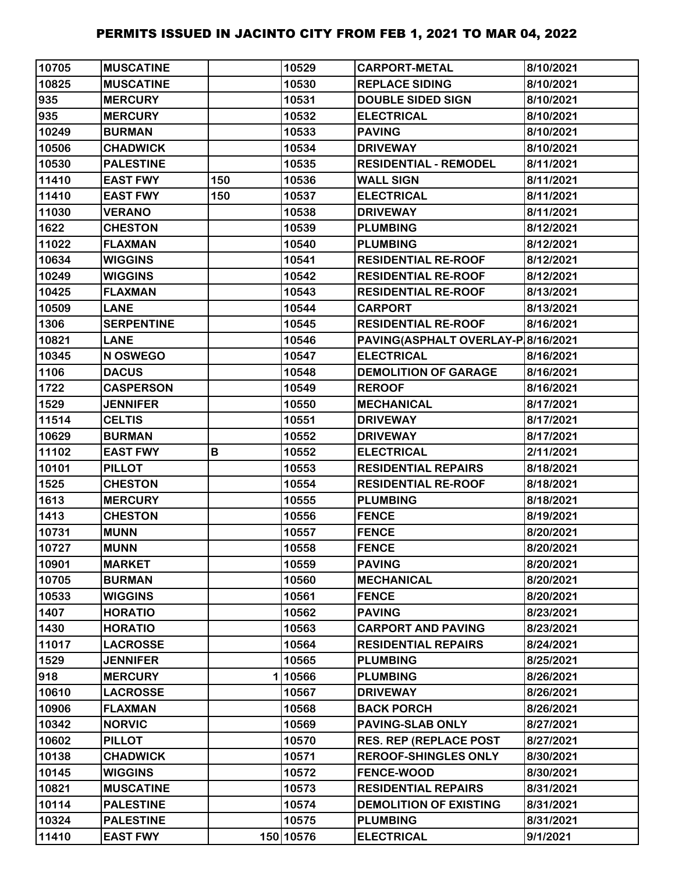| 10705 | <b>MUSCATINE</b>  |     | 10529     | <b>CARPORT-METAL</b>               | 8/10/2021 |
|-------|-------------------|-----|-----------|------------------------------------|-----------|
| 10825 | <b>MUSCATINE</b>  |     | 10530     | <b>REPLACE SIDING</b>              | 8/10/2021 |
| 935   | <b>MERCURY</b>    |     | 10531     | <b>DOUBLE SIDED SIGN</b>           | 8/10/2021 |
| 935   | <b>MERCURY</b>    |     | 10532     | <b>ELECTRICAL</b>                  | 8/10/2021 |
| 10249 | <b>BURMAN</b>     |     | 10533     | <b>PAVING</b>                      | 8/10/2021 |
| 10506 | <b>CHADWICK</b>   |     | 10534     | <b>DRIVEWAY</b>                    | 8/10/2021 |
| 10530 | <b>PALESTINE</b>  |     | 10535     | <b>RESIDENTIAL - REMODEL</b>       | 8/11/2021 |
| 11410 | <b>EAST FWY</b>   | 150 | 10536     | <b>WALL SIGN</b>                   | 8/11/2021 |
| 11410 | <b>EAST FWY</b>   | 150 | 10537     | <b>ELECTRICAL</b>                  | 8/11/2021 |
| 11030 | <b>VERANO</b>     |     | 10538     | <b>DRIVEWAY</b>                    | 8/11/2021 |
| 1622  | <b>CHESTON</b>    |     | 10539     | <b>PLUMBING</b>                    | 8/12/2021 |
| 11022 | <b>FLAXMAN</b>    |     | 10540     | <b>PLUMBING</b>                    | 8/12/2021 |
| 10634 | <b>WIGGINS</b>    |     | 10541     | <b>RESIDENTIAL RE-ROOF</b>         | 8/12/2021 |
| 10249 | <b>WIGGINS</b>    |     | 10542     | <b>RESIDENTIAL RE-ROOF</b>         | 8/12/2021 |
| 10425 | <b>FLAXMAN</b>    |     | 10543     | <b>RESIDENTIAL RE-ROOF</b>         | 8/13/2021 |
| 10509 | <b>LANE</b>       |     | 10544     | <b>CARPORT</b>                     | 8/13/2021 |
| 1306  | <b>SERPENTINE</b> |     | 10545     | <b>RESIDENTIAL RE-ROOF</b>         | 8/16/2021 |
| 10821 | <b>LANE</b>       |     | 10546     | PAVING(ASPHALT OVERLAY-P 8/16/2021 |           |
| 10345 | N OSWEGO          |     | 10547     | <b>ELECTRICAL</b>                  | 8/16/2021 |
| 1106  | <b>DACUS</b>      |     | 10548     | <b>DEMOLITION OF GARAGE</b>        | 8/16/2021 |
| 1722  | <b>CASPERSON</b>  |     | 10549     | <b>REROOF</b>                      | 8/16/2021 |
| 1529  | <b>JENNIFER</b>   |     | 10550     | <b>MECHANICAL</b>                  | 8/17/2021 |
| 11514 | <b>CELTIS</b>     |     | 10551     | <b>DRIVEWAY</b>                    | 8/17/2021 |
| 10629 | <b>BURMAN</b>     |     | 10552     | <b>DRIVEWAY</b>                    | 8/17/2021 |
| 11102 | <b>EAST FWY</b>   | В   | 10552     | <b>ELECTRICAL</b>                  | 2/11/2021 |
| 10101 | <b>PILLOT</b>     |     | 10553     | <b>RESIDENTIAL REPAIRS</b>         | 8/18/2021 |
| 1525  | <b>CHESTON</b>    |     | 10554     | <b>RESIDENTIAL RE-ROOF</b>         | 8/18/2021 |
| 1613  | <b>MERCURY</b>    |     | 10555     | <b>PLUMBING</b>                    | 8/18/2021 |
| 1413  | <b>CHESTON</b>    |     | 10556     | <b>FENCE</b>                       | 8/19/2021 |
| 10731 | <b>MUNN</b>       |     | 10557     | <b>FENCE</b>                       | 8/20/2021 |
| 10727 | <b>MUNN</b>       |     | 10558     | <b>FENCE</b>                       | 8/20/2021 |
| 10901 | <b>MARKET</b>     |     | 10559     | <b>PAVING</b>                      | 8/20/2021 |
| 10705 | <b>BURMAN</b>     |     | 10560     | <b>MECHANICAL</b>                  | 8/20/2021 |
| 10533 | <b>WIGGINS</b>    |     | 10561     | <b>FENCE</b>                       | 8/20/2021 |
| 1407  | <b>HORATIO</b>    |     | 10562     | <b>PAVING</b>                      | 8/23/2021 |
| 1430  | <b>HORATIO</b>    |     | 10563     | <b>CARPORT AND PAVING</b>          | 8/23/2021 |
| 11017 | <b>LACROSSE</b>   |     | 10564     | <b>RESIDENTIAL REPAIRS</b>         | 8/24/2021 |
| 1529  | <b>JENNIFER</b>   |     | 10565     | <b>PLUMBING</b>                    | 8/25/2021 |
| 918   | <b>MERCURY</b>    |     | 110566    | <b>PLUMBING</b>                    | 8/26/2021 |
| 10610 | <b>LACROSSE</b>   |     | 10567     | <b>DRIVEWAY</b>                    | 8/26/2021 |
| 10906 | <b>FLAXMAN</b>    |     | 10568     | <b>BACK PORCH</b>                  | 8/26/2021 |
| 10342 | <b>NORVIC</b>     |     | 10569     | <b>PAVING-SLAB ONLY</b>            | 8/27/2021 |
| 10602 | <b>PILLOT</b>     |     | 10570     | <b>RES. REP (REPLACE POST</b>      | 8/27/2021 |
| 10138 | <b>CHADWICK</b>   |     | 10571     | <b>REROOF-SHINGLES ONLY</b>        | 8/30/2021 |
| 10145 | <b>WIGGINS</b>    |     | 10572     | <b>FENCE-WOOD</b>                  | 8/30/2021 |
| 10821 | <b>MUSCATINE</b>  |     | 10573     | <b>RESIDENTIAL REPAIRS</b>         | 8/31/2021 |
| 10114 | <b>PALESTINE</b>  |     | 10574     | <b>DEMOLITION OF EXISTING</b>      | 8/31/2021 |
| 10324 | <b>PALESTINE</b>  |     | 10575     | <b>PLUMBING</b>                    | 8/31/2021 |
| 11410 | <b>EAST FWY</b>   |     | 150 10576 | <b>ELECTRICAL</b>                  | 9/1/2021  |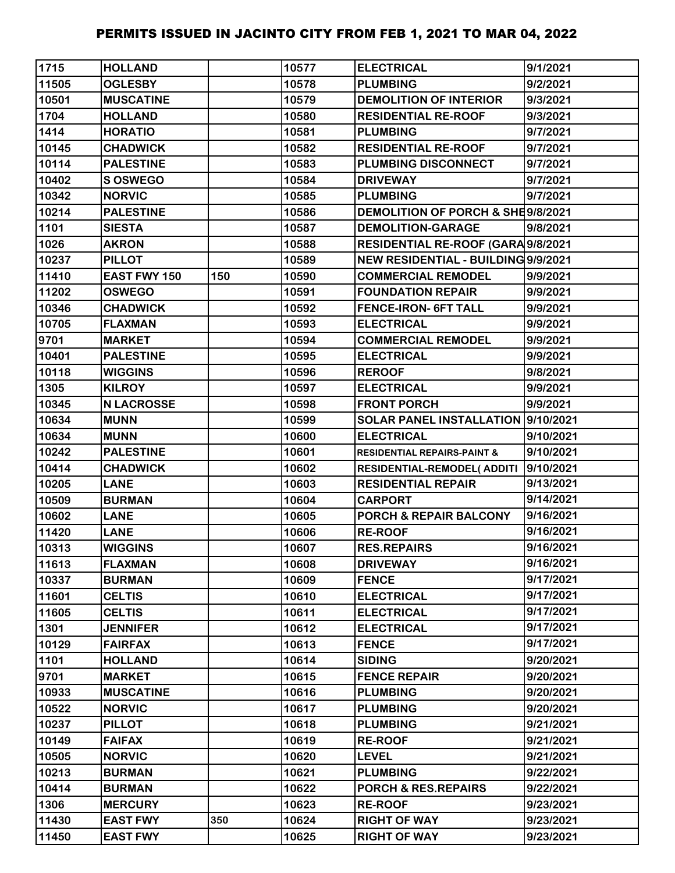| 1715  | <b>HOLLAND</b>    |     | 10577 | <b>ELECTRICAL</b>                      | 9/1/2021  |
|-------|-------------------|-----|-------|----------------------------------------|-----------|
| 11505 | <b>OGLESBY</b>    |     | 10578 | <b>PLUMBING</b>                        | 9/2/2021  |
| 10501 | <b>MUSCATINE</b>  |     | 10579 | <b>DEMOLITION OF INTERIOR</b>          | 9/3/2021  |
| 1704  | <b>HOLLAND</b>    |     | 10580 | <b>RESIDENTIAL RE-ROOF</b>             | 9/3/2021  |
| 1414  | <b>HORATIO</b>    |     | 10581 | <b>PLUMBING</b>                        | 9/7/2021  |
| 10145 | <b>CHADWICK</b>   |     | 10582 | <b>RESIDENTIAL RE-ROOF</b>             | 9/7/2021  |
| 10114 | <b>PALESTINE</b>  |     | 10583 | PLUMBING DISCONNECT                    | 9/7/2021  |
| 10402 | S OSWEGO          |     | 10584 | <b>DRIVEWAY</b>                        | 9/7/2021  |
| 10342 | <b>NORVIC</b>     |     | 10585 | <b>PLUMBING</b>                        | 9/7/2021  |
| 10214 | <b>PALESTINE</b>  |     | 10586 | DEMOLITION OF PORCH & SHE9/8/2021      |           |
| 1101  | <b>SIESTA</b>     |     | 10587 | <b>DEMOLITION-GARAGE</b>               | 9/8/2021  |
| 1026  | <b>AKRON</b>      |     | 10588 | RESIDENTIAL RE-ROOF (GARA 9/8/2021     |           |
| 10237 | <b>PILLOT</b>     |     | 10589 | NEW RESIDENTIAL - BUILDING 9/9/2021    |           |
| 11410 | EAST FWY 150      | 150 | 10590 | <b>COMMERCIAL REMODEL</b>              | 9/9/2021  |
| 11202 | <b>OSWEGO</b>     |     | 10591 | <b>FOUNDATION REPAIR</b>               | 9/9/2021  |
| 10346 | <b>CHADWICK</b>   |     | 10592 | <b>FENCE-IRON- 6FT TALL</b>            | 9/9/2021  |
| 10705 | <b>FLAXMAN</b>    |     | 10593 | <b>ELECTRICAL</b>                      | 9/9/2021  |
| 9701  | <b>MARKET</b>     |     | 10594 | <b>COMMERCIAL REMODEL</b>              | 9/9/2021  |
| 10401 | <b>PALESTINE</b>  |     | 10595 | <b>ELECTRICAL</b>                      | 9/9/2021  |
| 10118 | <b>WIGGINS</b>    |     | 10596 | <b>REROOF</b>                          | 9/8/2021  |
| 1305  | <b>KILROY</b>     |     | 10597 | <b>ELECTRICAL</b>                      | 9/9/2021  |
| 10345 | <b>N LACROSSE</b> |     | 10598 | <b>FRONT PORCH</b>                     | 9/9/2021  |
| 10634 | <b>MUNN</b>       |     | 10599 | SOLAR PANEL INSTALLATION 9/10/2021     |           |
| 10634 | <b>MUNN</b>       |     | 10600 | <b>ELECTRICAL</b>                      | 9/10/2021 |
| 10242 | <b>PALESTINE</b>  |     | 10601 | <b>RESIDENTIAL REPAIRS-PAINT &amp;</b> | 9/10/2021 |
| 10414 | <b>CHADWICK</b>   |     | 10602 | <b>RESIDENTIAL-REMODEL( ADDITI</b>     | 9/10/2021 |
| 10205 | <b>LANE</b>       |     | 10603 | <b>RESIDENTIAL REPAIR</b>              | 9/13/2021 |
| 10509 | <b>BURMAN</b>     |     | 10604 | <b>CARPORT</b>                         | 9/14/2021 |
| 10602 | <b>LANE</b>       |     | 10605 | <b>PORCH &amp; REPAIR BALCONY</b>      | 9/16/2021 |
| 11420 | <b>LANE</b>       |     | 10606 | <b>RE-ROOF</b>                         | 9/16/2021 |
| 10313 | <b>WIGGINS</b>    |     | 10607 | <b>RES.REPAIRS</b>                     | 9/16/2021 |
| 11613 | <b>FLAXMAN</b>    |     | 10608 | <b>DRIVEWAY</b>                        | 9/16/2021 |
| 10337 | <b>BURMAN</b>     |     | 10609 | <b>FENCE</b>                           | 9/17/2021 |
| 11601 | <b>CELTIS</b>     |     | 10610 | <b>ELECTRICAL</b>                      | 9/17/2021 |
| 11605 | <b>CELTIS</b>     |     | 10611 | <b>ELECTRICAL</b>                      | 9/17/2021 |
| 1301  | <b>JENNIFER</b>   |     | 10612 | <b>ELECTRICAL</b>                      | 9/17/2021 |
| 10129 | <b>FAIRFAX</b>    |     | 10613 | <b>FENCE</b>                           | 9/17/2021 |
| 1101  | <b>HOLLAND</b>    |     | 10614 | <b>SIDING</b>                          | 9/20/2021 |
| 9701  | <b>MARKET</b>     |     | 10615 | <b>FENCE REPAIR</b>                    | 9/20/2021 |
| 10933 | <b>MUSCATINE</b>  |     | 10616 | <b>PLUMBING</b>                        | 9/20/2021 |
| 10522 | <b>NORVIC</b>     |     | 10617 | <b>PLUMBING</b>                        | 9/20/2021 |
| 10237 | <b>PILLOT</b>     |     | 10618 | <b>PLUMBING</b>                        | 9/21/2021 |
| 10149 | <b>FAIFAX</b>     |     | 10619 | <b>RE-ROOF</b>                         | 9/21/2021 |
| 10505 | <b>NORVIC</b>     |     | 10620 | <b>LEVEL</b>                           | 9/21/2021 |
| 10213 | <b>BURMAN</b>     |     | 10621 | <b>PLUMBING</b>                        | 9/22/2021 |
| 10414 | <b>BURMAN</b>     |     | 10622 | <b>PORCH &amp; RES.REPAIRS</b>         | 9/22/2021 |
| 1306  | <b>MERCURY</b>    |     | 10623 | <b>RE-ROOF</b>                         | 9/23/2021 |
| 11430 | <b>EAST FWY</b>   | 350 | 10624 | <b>RIGHT OF WAY</b>                    | 9/23/2021 |
| 11450 | <b>EAST FWY</b>   |     | 10625 | <b>RIGHT OF WAY</b>                    | 9/23/2021 |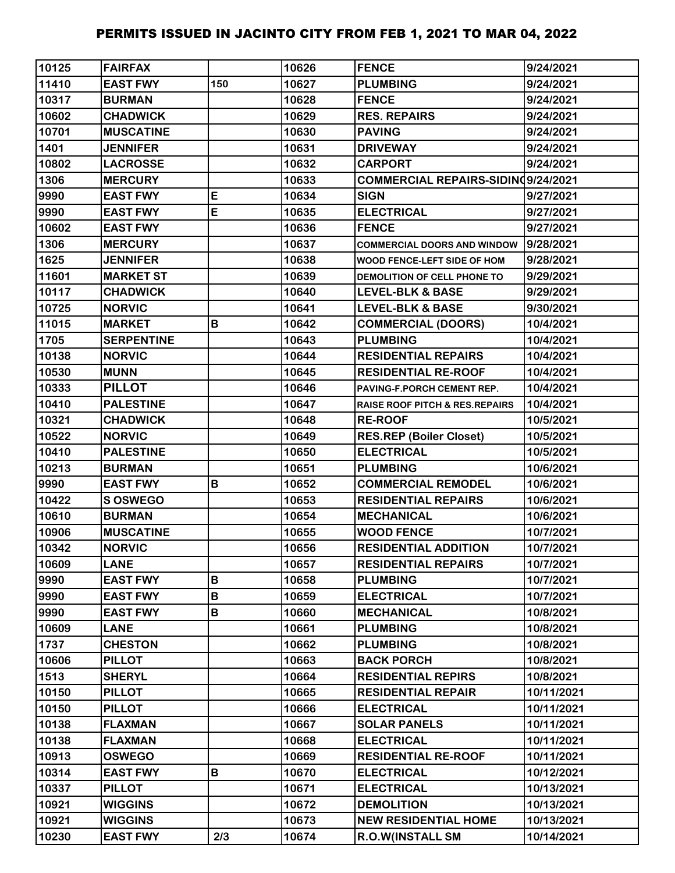| 10125 | <b>FAIRFAX</b>    |     | 10626 | <b>FENCE</b>                       | 9/24/2021  |
|-------|-------------------|-----|-------|------------------------------------|------------|
| 11410 | <b>EAST FWY</b>   | 150 | 10627 | <b>PLUMBING</b>                    | 9/24/2021  |
| 10317 | <b>BURMAN</b>     |     | 10628 | <b>FENCE</b>                       | 9/24/2021  |
| 10602 | <b>CHADWICK</b>   |     | 10629 | <b>RES. REPAIRS</b>                | 9/24/2021  |
| 10701 | <b>MUSCATINE</b>  |     | 10630 | <b>PAVING</b>                      | 9/24/2021  |
| 1401  | <b>JENNIFER</b>   |     | 10631 | <b>DRIVEWAY</b>                    | 9/24/2021  |
| 10802 | <b>LACROSSE</b>   |     | 10632 | <b>CARPORT</b>                     | 9/24/2021  |
| 1306  | <b>MERCURY</b>    |     | 10633 | COMMERCIAL REPAIRS-SIDIND9/24/2021 |            |
| 9990  | <b>EAST FWY</b>   | E   | 10634 | <b>SIGN</b>                        | 9/27/2021  |
| 9990  | <b>EAST FWY</b>   | E   | 10635 | <b>ELECTRICAL</b>                  | 9/27/2021  |
| 10602 | <b>EAST FWY</b>   |     | 10636 | <b>FENCE</b>                       | 9/27/2021  |
| 1306  | <b>MERCURY</b>    |     | 10637 | <b>COMMERCIAL DOORS AND WINDOW</b> | 9/28/2021  |
| 1625  | <b>JENNIFER</b>   |     | 10638 | WOOD FENCE-LEFT SIDE OF HOM        | 9/28/2021  |
| 11601 | <b>MARKET ST</b>  |     | 10639 | DEMOLITION OF CELL PHONE TO        | 9/29/2021  |
| 10117 | <b>CHADWICK</b>   |     | 10640 | <b>LEVEL-BLK &amp; BASE</b>        | 9/29/2021  |
| 10725 | <b>NORVIC</b>     |     | 10641 | <b>LEVEL-BLK &amp; BASE</b>        | 9/30/2021  |
| 11015 | <b>MARKET</b>     | B   | 10642 | <b>COMMERCIAL (DOORS)</b>          | 10/4/2021  |
| 1705  | <b>SERPENTINE</b> |     | 10643 | <b>PLUMBING</b>                    | 10/4/2021  |
| 10138 | <b>NORVIC</b>     |     | 10644 | <b>RESIDENTIAL REPAIRS</b>         | 10/4/2021  |
| 10530 | <b>MUNN</b>       |     | 10645 | <b>RESIDENTIAL RE-ROOF</b>         | 10/4/2021  |
| 10333 | <b>PILLOT</b>     |     | 10646 | PAVING-F.PORCH CEMENT REP.         | 10/4/2021  |
| 10410 | <b>PALESTINE</b>  |     | 10647 | RAISE ROOF PITCH & RES.REPAIRS     | 10/4/2021  |
| 10321 | <b>CHADWICK</b>   |     | 10648 | <b>RE-ROOF</b>                     | 10/5/2021  |
| 10522 | <b>NORVIC</b>     |     | 10649 | <b>RES.REP (Boiler Closet)</b>     | 10/5/2021  |
| 10410 | <b>PALESTINE</b>  |     | 10650 | <b>ELECTRICAL</b>                  | 10/5/2021  |
| 10213 | <b>BURMAN</b>     |     | 10651 | <b>PLUMBING</b>                    | 10/6/2021  |
| 9990  | <b>EAST FWY</b>   | B   | 10652 | <b>COMMERCIAL REMODEL</b>          | 10/6/2021  |
| 10422 | <b>SOSWEGO</b>    |     | 10653 | <b>RESIDENTIAL REPAIRS</b>         | 10/6/2021  |
| 10610 | <b>BURMAN</b>     |     | 10654 | <b>MECHANICAL</b>                  | 10/6/2021  |
| 10906 | <b>MUSCATINE</b>  |     | 10655 | <b>WOOD FENCE</b>                  | 10/7/2021  |
| 10342 | <b>NORVIC</b>     |     | 10656 | <b>RESIDENTIAL ADDITION</b>        | 10/7/2021  |
| 10609 | <b>LANE</b>       |     | 10657 | <b>RESIDENTIAL REPAIRS</b>         | 10/7/2021  |
| 9990  | <b>EAST FWY</b>   | B   | 10658 | <b>PLUMBING</b>                    | 10/7/2021  |
| 9990  | <b>EAST FWY</b>   | В   | 10659 | <b>ELECTRICAL</b>                  | 10/7/2021  |
| 9990  | <b>EAST FWY</b>   | B   | 10660 | <b>MECHANICAL</b>                  | 10/8/2021  |
| 10609 | <b>LANE</b>       |     | 10661 | <b>PLUMBING</b>                    | 10/8/2021  |
| 1737  | <b>CHESTON</b>    |     | 10662 | <b>PLUMBING</b>                    | 10/8/2021  |
| 10606 | <b>PILLOT</b>     |     | 10663 | <b>BACK PORCH</b>                  | 10/8/2021  |
| 1513  | <b>SHERYL</b>     |     | 10664 | <b>RESIDENTIAL REPIRS</b>          | 10/8/2021  |
| 10150 | <b>PILLOT</b>     |     | 10665 | <b>RESIDENTIAL REPAIR</b>          | 10/11/2021 |
| 10150 | <b>PILLOT</b>     |     | 10666 | <b>ELECTRICAL</b>                  | 10/11/2021 |
| 10138 | <b>FLAXMAN</b>    |     | 10667 | <b>SOLAR PANELS</b>                | 10/11/2021 |
| 10138 | <b>FLAXMAN</b>    |     | 10668 | <b>ELECTRICAL</b>                  | 10/11/2021 |
| 10913 | <b>OSWEGO</b>     |     | 10669 | <b>RESIDENTIAL RE-ROOF</b>         | 10/11/2021 |
| 10314 | <b>EAST FWY</b>   | В   | 10670 | <b>ELECTRICAL</b>                  | 10/12/2021 |
| 10337 | <b>PILLOT</b>     |     | 10671 | <b>ELECTRICAL</b>                  | 10/13/2021 |
| 10921 | <b>WIGGINS</b>    |     | 10672 | <b>DEMOLITION</b>                  | 10/13/2021 |
| 10921 | <b>WIGGINS</b>    |     | 10673 | <b>NEW RESIDENTIAL HOME</b>        | 10/13/2021 |
| 10230 | <b>EAST FWY</b>   | 2/3 | 10674 | <b>R.O.W(INSTALL SM</b>            | 10/14/2021 |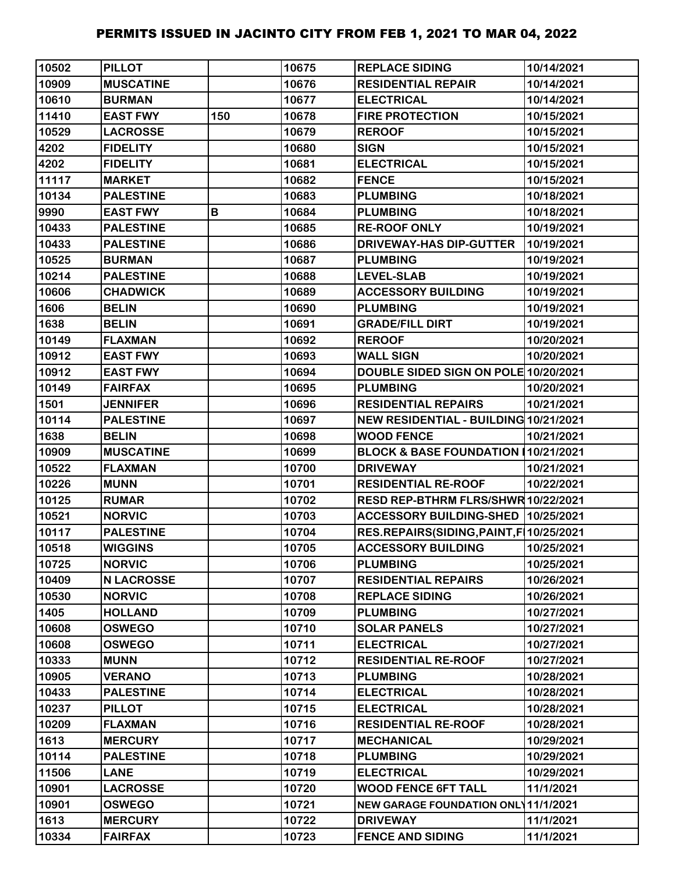| 10502 | <b>PILLOT</b>     |     | 10675 | <b>REPLACE SIDING</b>                      | 10/14/2021 |
|-------|-------------------|-----|-------|--------------------------------------------|------------|
| 10909 | <b>MUSCATINE</b>  |     | 10676 | <b>RESIDENTIAL REPAIR</b>                  | 10/14/2021 |
| 10610 | <b>BURMAN</b>     |     | 10677 | <b>ELECTRICAL</b>                          | 10/14/2021 |
| 11410 | <b>EAST FWY</b>   | 150 | 10678 | <b>FIRE PROTECTION</b>                     | 10/15/2021 |
| 10529 | <b>LACROSSE</b>   |     | 10679 | <b>REROOF</b>                              | 10/15/2021 |
| 4202  | <b>FIDELITY</b>   |     | 10680 | <b>SIGN</b>                                | 10/15/2021 |
| 4202  | <b>FIDELITY</b>   |     | 10681 | <b>ELECTRICAL</b>                          | 10/15/2021 |
| 11117 | <b>MARKET</b>     |     | 10682 | <b>FENCE</b>                               | 10/15/2021 |
| 10134 | <b>PALESTINE</b>  |     | 10683 | <b>PLUMBING</b>                            | 10/18/2021 |
| 9990  | <b>EAST FWY</b>   | B   | 10684 | <b>PLUMBING</b>                            | 10/18/2021 |
| 10433 | <b>PALESTINE</b>  |     | 10685 | <b>RE-ROOF ONLY</b>                        | 10/19/2021 |
| 10433 | <b>PALESTINE</b>  |     | 10686 | DRIVEWAY-HAS DIP-GUTTER                    | 10/19/2021 |
| 10525 | <b>BURMAN</b>     |     | 10687 | <b>PLUMBING</b>                            | 10/19/2021 |
| 10214 | <b>PALESTINE</b>  |     | 10688 | <b>LEVEL-SLAB</b>                          | 10/19/2021 |
| 10606 | <b>CHADWICK</b>   |     | 10689 | <b>ACCESSORY BUILDING</b>                  | 10/19/2021 |
| 1606  | <b>BELIN</b>      |     | 10690 | <b>PLUMBING</b>                            | 10/19/2021 |
| 1638  | <b>BELIN</b>      |     | 10691 | <b>GRADE/FILL DIRT</b>                     | 10/19/2021 |
| 10149 | <b>FLAXMAN</b>    |     | 10692 | <b>REROOF</b>                              | 10/20/2021 |
| 10912 | <b>EAST FWY</b>   |     | 10693 | <b>WALL SIGN</b>                           | 10/20/2021 |
| 10912 | <b>EAST FWY</b>   |     | 10694 | DOUBLE SIDED SIGN ON POLE 10/20/2021       |            |
| 10149 | <b>FAIRFAX</b>    |     | 10695 | <b>PLUMBING</b>                            | 10/20/2021 |
| 1501  | <b>JENNIFER</b>   |     | 10696 | <b>RESIDENTIAL REPAIRS</b>                 | 10/21/2021 |
| 10114 | <b>PALESTINE</b>  |     | 10697 | NEW RESIDENTIAL - BUILDING 10/21/2021      |            |
| 1638  | <b>BELIN</b>      |     | 10698 | <b>WOOD FENCE</b>                          | 10/21/2021 |
| 10909 | <b>MUSCATINE</b>  |     | 10699 | BLOCK & BASE FOUNDATION (10/21/2021        |            |
| 10522 | <b>FLAXMAN</b>    |     | 10700 | <b>DRIVEWAY</b>                            | 10/21/2021 |
| 10226 | <b>MUNN</b>       |     | 10701 | <b>RESIDENTIAL RE-ROOF</b>                 | 10/22/2021 |
| 10125 | <b>RUMAR</b>      |     | 10702 | RESD REP-BTHRM FLRS/SHWR 10/22/2021        |            |
| 10521 | <b>NORVIC</b>     |     | 10703 | ACCESSORY BUILDING-SHED   10/25/2021       |            |
| 10117 | <b>PALESTINE</b>  |     | 10704 | RES.REPAIRS(SIDING, PAINT, F   10/25/2021  |            |
| 10518 | <b>WIGGINS</b>    |     | 10705 | <b>ACCESSORY BUILDING</b>                  | 10/25/2021 |
| 10725 | <b>NORVIC</b>     |     | 10706 | <b>PLUMBING</b>                            | 10/25/2021 |
| 10409 | <b>N LACROSSE</b> |     | 10707 | <b>RESIDENTIAL REPAIRS</b>                 | 10/26/2021 |
| 10530 | <b>NORVIC</b>     |     | 10708 | <b>REPLACE SIDING</b>                      | 10/26/2021 |
| 1405  | <b>HOLLAND</b>    |     | 10709 | <b>PLUMBING</b>                            | 10/27/2021 |
| 10608 | <b>OSWEGO</b>     |     | 10710 | <b>SOLAR PANELS</b>                        | 10/27/2021 |
| 10608 | <b>OSWEGO</b>     |     | 10711 | <b>ELECTRICAL</b>                          | 10/27/2021 |
| 10333 | <b>MUNN</b>       |     | 10712 | <b>RESIDENTIAL RE-ROOF</b>                 | 10/27/2021 |
| 10905 | <b>VERANO</b>     |     | 10713 | <b>PLUMBING</b>                            | 10/28/2021 |
| 10433 | <b>PALESTINE</b>  |     | 10714 | <b>ELECTRICAL</b>                          | 10/28/2021 |
| 10237 | <b>PILLOT</b>     |     | 10715 | <b>ELECTRICAL</b>                          | 10/28/2021 |
| 10209 | <b>FLAXMAN</b>    |     | 10716 | <b>RESIDENTIAL RE-ROOF</b>                 | 10/28/2021 |
| 1613  | <b>MERCURY</b>    |     | 10717 | <b>MECHANICAL</b>                          | 10/29/2021 |
| 10114 | <b>PALESTINE</b>  |     | 10718 | <b>PLUMBING</b>                            | 10/29/2021 |
| 11506 | <b>LANE</b>       |     | 10719 | <b>ELECTRICAL</b>                          | 10/29/2021 |
| 10901 | <b>LACROSSE</b>   |     | 10720 | <b>WOOD FENCE 6FT TALL</b>                 | 11/1/2021  |
| 10901 | <b>OSWEGO</b>     |     | 10721 | <b>NEW GARAGE FOUNDATION ONL 11/1/2021</b> |            |
| 1613  | <b>MERCURY</b>    |     | 10722 | <b>DRIVEWAY</b>                            | 11/1/2021  |
| 10334 | <b>FAIRFAX</b>    |     | 10723 | <b>FENCE AND SIDING</b>                    | 11/1/2021  |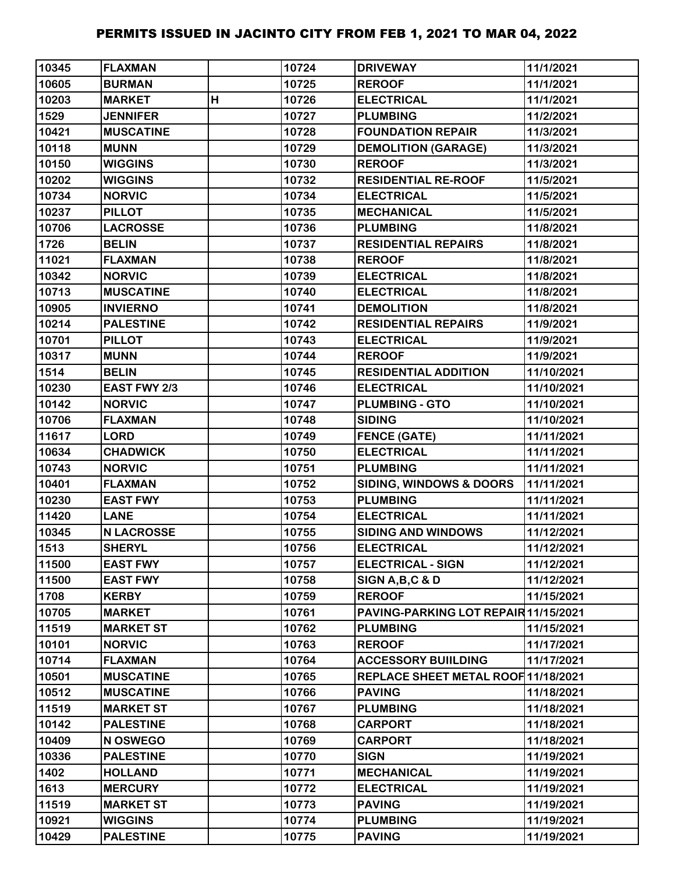| 10345 | <b>FLAXMAN</b>    |   | 10724 | <b>DRIVEWAY</b>                      | 11/1/2021  |
|-------|-------------------|---|-------|--------------------------------------|------------|
| 10605 | <b>BURMAN</b>     |   | 10725 | <b>REROOF</b>                        | 11/1/2021  |
| 10203 | <b>MARKET</b>     | H | 10726 | <b>ELECTRICAL</b>                    | 11/1/2021  |
| 1529  | <b>JENNIFER</b>   |   | 10727 | <b>PLUMBING</b>                      | 11/2/2021  |
| 10421 | <b>MUSCATINE</b>  |   | 10728 | <b>FOUNDATION REPAIR</b>             | 11/3/2021  |
| 10118 | <b>MUNN</b>       |   | 10729 | <b>DEMOLITION (GARAGE)</b>           | 11/3/2021  |
| 10150 | <b>WIGGINS</b>    |   | 10730 | <b>REROOF</b>                        | 11/3/2021  |
| 10202 | <b>WIGGINS</b>    |   | 10732 | <b>RESIDENTIAL RE-ROOF</b>           | 11/5/2021  |
| 10734 | <b>NORVIC</b>     |   | 10734 | <b>ELECTRICAL</b>                    | 11/5/2021  |
| 10237 | <b>PILLOT</b>     |   | 10735 | <b>MECHANICAL</b>                    | 11/5/2021  |
| 10706 | <b>LACROSSE</b>   |   | 10736 | <b>PLUMBING</b>                      | 11/8/2021  |
| 1726  | <b>BELIN</b>      |   | 10737 | <b>RESIDENTIAL REPAIRS</b>           | 11/8/2021  |
| 11021 | <b>FLAXMAN</b>    |   | 10738 | <b>REROOF</b>                        | 11/8/2021  |
| 10342 | <b>NORVIC</b>     |   | 10739 | <b>ELECTRICAL</b>                    | 11/8/2021  |
| 10713 | <b>MUSCATINE</b>  |   | 10740 | <b>ELECTRICAL</b>                    | 11/8/2021  |
| 10905 | <b>INVIERNO</b>   |   | 10741 | <b>DEMOLITION</b>                    | 11/8/2021  |
| 10214 | <b>PALESTINE</b>  |   | 10742 | <b>RESIDENTIAL REPAIRS</b>           | 11/9/2021  |
| 10701 | <b>PILLOT</b>     |   | 10743 | <b>ELECTRICAL</b>                    | 11/9/2021  |
| 10317 | <b>MUNN</b>       |   | 10744 | <b>REROOF</b>                        | 11/9/2021  |
| 1514  | <b>BELIN</b>      |   | 10745 | <b>RESIDENTIAL ADDITION</b>          | 11/10/2021 |
| 10230 | EAST FWY 2/3      |   | 10746 | <b>ELECTRICAL</b>                    | 11/10/2021 |
| 10142 | <b>NORVIC</b>     |   | 10747 | <b>PLUMBING - GTO</b>                | 11/10/2021 |
| 10706 | <b>FLAXMAN</b>    |   | 10748 | <b>SIDING</b>                        | 11/10/2021 |
| 11617 | <b>LORD</b>       |   | 10749 | <b>FENCE (GATE)</b>                  | 11/11/2021 |
| 10634 | <b>CHADWICK</b>   |   | 10750 | <b>ELECTRICAL</b>                    | 11/11/2021 |
| 10743 | <b>NORVIC</b>     |   | 10751 | <b>PLUMBING</b>                      | 11/11/2021 |
| 10401 | <b>FLAXMAN</b>    |   | 10752 | SIDING, WINDOWS & DOORS              | 11/11/2021 |
| 10230 | <b>EAST FWY</b>   |   | 10753 | <b>PLUMBING</b>                      | 11/11/2021 |
| 11420 | <b>LANE</b>       |   | 10754 | <b>ELECTRICAL</b>                    | 11/11/2021 |
| 10345 | <b>N LACROSSE</b> |   | 10755 | <b>SIDING AND WINDOWS</b>            | 11/12/2021 |
| 1513  | <b>SHERYL</b>     |   | 10756 | <b>ELECTRICAL</b>                    | 11/12/2021 |
| 11500 | <b>EAST FWY</b>   |   | 10757 | <b>ELECTRICAL - SIGN</b>             | 11/12/2021 |
| 11500 | <b>EAST FWY</b>   |   | 10758 | SIGN A, B, C & D                     | 11/12/2021 |
| 1708  | <b>KERBY</b>      |   | 10759 | <b>REROOF</b>                        | 11/15/2021 |
| 10705 | <b>MARKET</b>     |   | 10761 | PAVING-PARKING LOT REPAIR 11/15/2021 |            |
| 11519 | <b>MARKET ST</b>  |   | 10762 | <b>PLUMBING</b>                      | 11/15/2021 |
| 10101 | <b>NORVIC</b>     |   | 10763 | <b>REROOF</b>                        | 11/17/2021 |
| 10714 | <b>FLAXMAN</b>    |   | 10764 | <b>ACCESSORY BUIILDING</b>           | 11/17/2021 |
| 10501 | <b>MUSCATINE</b>  |   | 10765 | REPLACE SHEET METAL ROOF 11/18/2021  |            |
| 10512 | <b>MUSCATINE</b>  |   | 10766 | <b>PAVING</b>                        | 11/18/2021 |
| 11519 | <b>MARKET ST</b>  |   | 10767 | <b>PLUMBING</b>                      | 11/18/2021 |
| 10142 | <b>PALESTINE</b>  |   | 10768 | <b>CARPORT</b>                       | 11/18/2021 |
| 10409 | N OSWEGO          |   | 10769 | <b>CARPORT</b>                       | 11/18/2021 |
| 10336 | <b>PALESTINE</b>  |   | 10770 | <b>SIGN</b>                          | 11/19/2021 |
| 1402  | <b>HOLLAND</b>    |   | 10771 | <b>MECHANICAL</b>                    | 11/19/2021 |
| 1613  | <b>MERCURY</b>    |   | 10772 | <b>ELECTRICAL</b>                    | 11/19/2021 |
| 11519 | <b>MARKET ST</b>  |   | 10773 | <b>PAVING</b>                        | 11/19/2021 |
| 10921 | <b>WIGGINS</b>    |   | 10774 | <b>PLUMBING</b>                      | 11/19/2021 |
| 10429 | <b>PALESTINE</b>  |   | 10775 | <b>PAVING</b>                        | 11/19/2021 |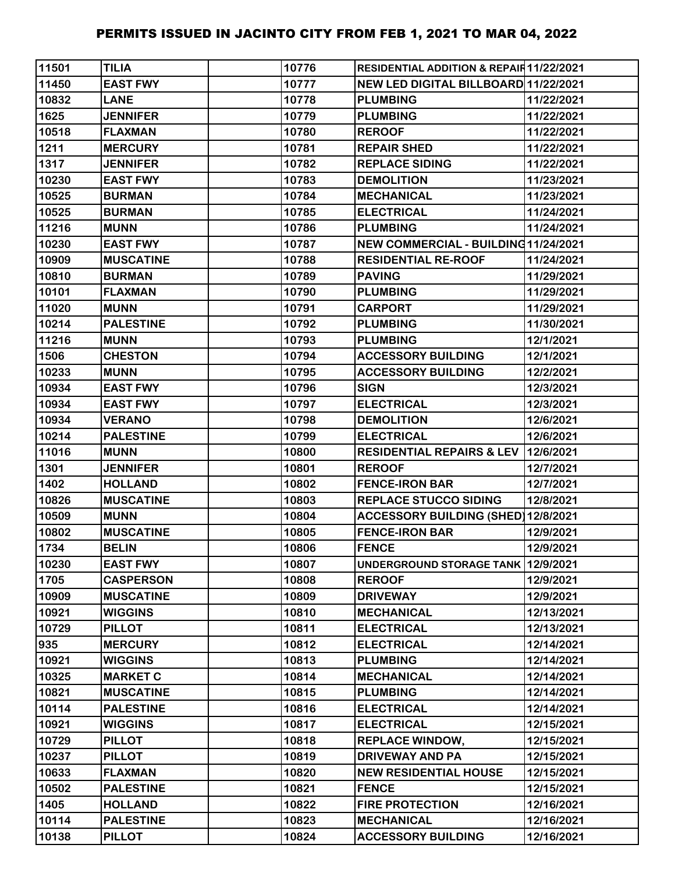| 11501 | <b>TILIA</b>     | 10776 | RESIDENTIAL ADDITION & REPAIR 11/22/2021 |            |
|-------|------------------|-------|------------------------------------------|------------|
| 11450 | <b>EAST FWY</b>  | 10777 | NEW LED DIGITAL BILLBOARD 11/22/2021     |            |
| 10832 | <b>LANE</b>      | 10778 | <b>PLUMBING</b>                          | 11/22/2021 |
| 1625  | <b>JENNIFER</b>  | 10779 | <b>PLUMBING</b>                          | 11/22/2021 |
| 10518 | <b>FLAXMAN</b>   | 10780 | <b>REROOF</b>                            | 11/22/2021 |
| 1211  | <b>MERCURY</b>   | 10781 | <b>REPAIR SHED</b>                       | 11/22/2021 |
| 1317  | <b>JENNIFER</b>  | 10782 | <b>REPLACE SIDING</b>                    | 11/22/2021 |
| 10230 | <b>EAST FWY</b>  | 10783 | <b>DEMOLITION</b>                        | 11/23/2021 |
| 10525 | <b>BURMAN</b>    | 10784 | <b>MECHANICAL</b>                        | 11/23/2021 |
| 10525 | <b>BURMAN</b>    | 10785 | <b>ELECTRICAL</b>                        | 11/24/2021 |
| 11216 | <b>MUNN</b>      | 10786 | <b>PLUMBING</b>                          | 11/24/2021 |
| 10230 | <b>EAST FWY</b>  | 10787 | NEW COMMERCIAL - BUILDING 11/24/2021     |            |
| 10909 | <b>MUSCATINE</b> | 10788 | <b>RESIDENTIAL RE-ROOF</b>               | 11/24/2021 |
| 10810 | <b>BURMAN</b>    | 10789 | <b>PAVING</b>                            | 11/29/2021 |
| 10101 | <b>FLAXMAN</b>   | 10790 | <b>PLUMBING</b>                          | 11/29/2021 |
| 11020 | <b>MUNN</b>      | 10791 | <b>CARPORT</b>                           | 11/29/2021 |
| 10214 | <b>PALESTINE</b> | 10792 | <b>PLUMBING</b>                          | 11/30/2021 |
| 11216 | <b>MUNN</b>      | 10793 | <b>PLUMBING</b>                          | 12/1/2021  |
| 1506  | <b>CHESTON</b>   | 10794 | <b>ACCESSORY BUILDING</b>                | 12/1/2021  |
| 10233 | <b>MUNN</b>      | 10795 | <b>ACCESSORY BUILDING</b>                | 12/2/2021  |
| 10934 | <b>EAST FWY</b>  | 10796 | <b>SIGN</b>                              | 12/3/2021  |
| 10934 | <b>EAST FWY</b>  | 10797 | <b>ELECTRICAL</b>                        | 12/3/2021  |
| 10934 | <b>VERANO</b>    | 10798 | <b>DEMOLITION</b>                        | 12/6/2021  |
| 10214 | <b>PALESTINE</b> | 10799 | <b>ELECTRICAL</b>                        | 12/6/2021  |
| 11016 | <b>MUNN</b>      | 10800 | RESIDENTIAL REPAIRS & LEV 12/6/2021      |            |
| 1301  | <b>JENNIFER</b>  | 10801 | <b>REROOF</b>                            | 12/7/2021  |
| 1402  | <b>HOLLAND</b>   | 10802 | <b>FENCE-IRON BAR</b>                    | 12/7/2021  |
| 10826 | <b>MUSCATINE</b> | 10803 | <b>REPLACE STUCCO SIDING</b>             | 12/8/2021  |
| 10509 | <b>MUNN</b>      | 10804 | ACCESSORY BUILDING (SHED) 12/8/2021      |            |
| 10802 | <b>MUSCATINE</b> | 10805 | <b>FENCE-IRON BAR</b>                    | 12/9/2021  |
| 1734  | <b>BELIN</b>     | 10806 | <b>FENCE</b>                             | 12/9/2021  |
| 10230 | <b>EAST FWY</b>  | 10807 | UNDERGROUND STORAGE TANK 12/9/2021       |            |
| 1705  | <b>CASPERSON</b> | 10808 | <b>REROOF</b>                            | 12/9/2021  |
| 10909 | <b>MUSCATINE</b> | 10809 | <b>DRIVEWAY</b>                          | 12/9/2021  |
| 10921 | <b>WIGGINS</b>   | 10810 | <b>MECHANICAL</b>                        | 12/13/2021 |
| 10729 | <b>PILLOT</b>    | 10811 | <b>ELECTRICAL</b>                        | 12/13/2021 |
| 935   | <b>MERCURY</b>   | 10812 | <b>ELECTRICAL</b>                        | 12/14/2021 |
| 10921 | <b>WIGGINS</b>   | 10813 | <b>PLUMBING</b>                          | 12/14/2021 |
| 10325 | <b>MARKET C</b>  | 10814 | <b>MECHANICAL</b>                        | 12/14/2021 |
| 10821 | <b>MUSCATINE</b> | 10815 | <b>PLUMBING</b>                          | 12/14/2021 |
| 10114 | <b>PALESTINE</b> | 10816 | <b>ELECTRICAL</b>                        | 12/14/2021 |
| 10921 | <b>WIGGINS</b>   | 10817 | <b>ELECTRICAL</b>                        | 12/15/2021 |
| 10729 | <b>PILLOT</b>    | 10818 | <b>REPLACE WINDOW,</b>                   | 12/15/2021 |
| 10237 | <b>PILLOT</b>    | 10819 | <b>DRIVEWAY AND PA</b>                   | 12/15/2021 |
| 10633 | <b>FLAXMAN</b>   | 10820 | <b>NEW RESIDENTIAL HOUSE</b>             | 12/15/2021 |
| 10502 | <b>PALESTINE</b> | 10821 | <b>FENCE</b>                             | 12/15/2021 |
| 1405  | <b>HOLLAND</b>   | 10822 | <b>FIRE PROTECTION</b>                   | 12/16/2021 |
| 10114 | <b>PALESTINE</b> | 10823 | <b>MECHANICAL</b>                        | 12/16/2021 |
| 10138 | <b>PILLOT</b>    | 10824 | <b>ACCESSORY BUILDING</b>                | 12/16/2021 |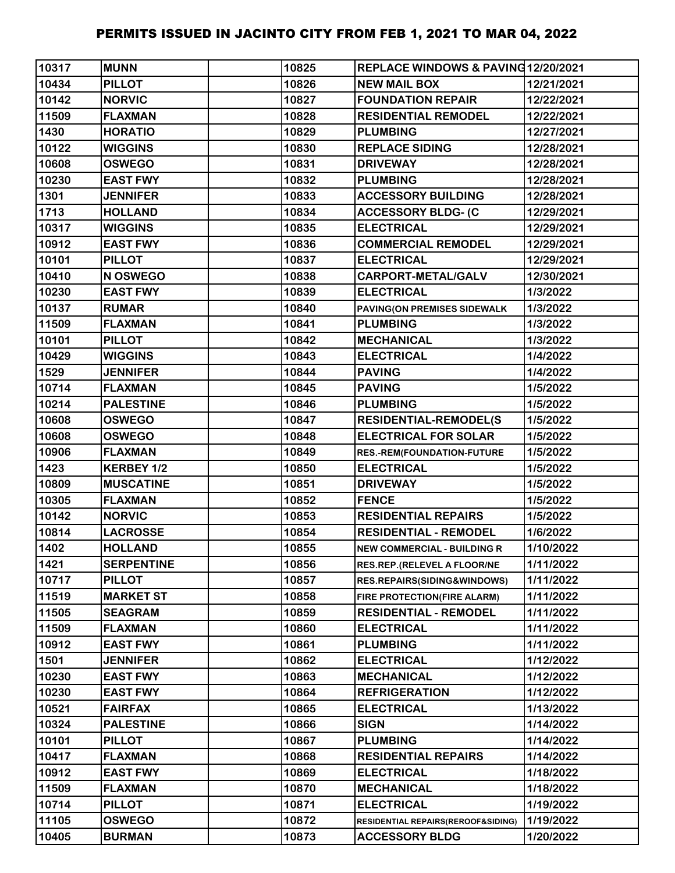| 10317 | <b>MUNN</b>       | 10825 | REPLACE WINDOWS & PAVING12/20/2021     |            |
|-------|-------------------|-------|----------------------------------------|------------|
| 10434 | <b>PILLOT</b>     | 10826 | <b>NEW MAIL BOX</b>                    | 12/21/2021 |
| 10142 | <b>NORVIC</b>     | 10827 | <b>FOUNDATION REPAIR</b>               | 12/22/2021 |
| 11509 | <b>FLAXMAN</b>    | 10828 | <b>RESIDENTIAL REMODEL</b>             | 12/22/2021 |
| 1430  | <b>HORATIO</b>    | 10829 | <b>PLUMBING</b>                        | 12/27/2021 |
| 10122 | <b>WIGGINS</b>    | 10830 | <b>REPLACE SIDING</b>                  | 12/28/2021 |
| 10608 | <b>OSWEGO</b>     | 10831 | <b>DRIVEWAY</b>                        | 12/28/2021 |
| 10230 | <b>EAST FWY</b>   | 10832 | <b>PLUMBING</b>                        | 12/28/2021 |
| 1301  | <b>JENNIFER</b>   | 10833 | <b>ACCESSORY BUILDING</b>              | 12/28/2021 |
| 1713  | <b>HOLLAND</b>    | 10834 | <b>ACCESSORY BLDG- (C</b>              | 12/29/2021 |
| 10317 | <b>WIGGINS</b>    | 10835 | <b>ELECTRICAL</b>                      | 12/29/2021 |
| 10912 | <b>EAST FWY</b>   | 10836 | <b>COMMERCIAL REMODEL</b>              | 12/29/2021 |
| 10101 | <b>PILLOT</b>     | 10837 | <b>ELECTRICAL</b>                      | 12/29/2021 |
| 10410 | N OSWEGO          | 10838 | CARPORT-METAL/GALV                     | 12/30/2021 |
| 10230 | <b>EAST FWY</b>   | 10839 | <b>ELECTRICAL</b>                      | 1/3/2022   |
| 10137 | <b>RUMAR</b>      | 10840 | PAVING(ON PREMISES SIDEWALK            | 1/3/2022   |
| 11509 | <b>FLAXMAN</b>    | 10841 | <b>PLUMBING</b>                        | 1/3/2022   |
| 10101 | <b>PILLOT</b>     | 10842 | <b>MECHANICAL</b>                      | 1/3/2022   |
| 10429 | <b>WIGGINS</b>    | 10843 | <b>ELECTRICAL</b>                      | 1/4/2022   |
| 1529  | <b>JENNIFER</b>   | 10844 | <b>PAVING</b>                          | 1/4/2022   |
| 10714 | <b>FLAXMAN</b>    | 10845 | <b>PAVING</b>                          | 1/5/2022   |
| 10214 | <b>PALESTINE</b>  | 10846 | <b>PLUMBING</b>                        | 1/5/2022   |
| 10608 | <b>OSWEGO</b>     | 10847 | <b>RESIDENTIAL-REMODEL(S</b>           | 1/5/2022   |
| 10608 | <b>OSWEGO</b>     | 10848 | <b>ELECTRICAL FOR SOLAR</b>            | 1/5/2022   |
| 10906 | <b>FLAXMAN</b>    | 10849 | <b>RES.-REM(FOUNDATION-FUTURE</b>      | 1/5/2022   |
| 1423  | KERBEY 1/2        | 10850 | <b>ELECTRICAL</b>                      | 1/5/2022   |
| 10809 | <b>MUSCATINE</b>  | 10851 | <b>DRIVEWAY</b>                        | 1/5/2022   |
| 10305 | <b>FLAXMAN</b>    | 10852 | <b>FENCE</b>                           | 1/5/2022   |
| 10142 | <b>NORVIC</b>     | 10853 | <b>RESIDENTIAL REPAIRS</b>             | 1/5/2022   |
| 10814 | <b>LACROSSE</b>   | 10854 | <b>RESIDENTIAL - REMODEL</b>           | 1/6/2022   |
| 1402  | <b>HOLLAND</b>    | 10855 | <b>NEW COMMERCIAL - BUILDING R</b>     | 1/10/2022  |
| 1421  | <b>SERPENTINE</b> | 10856 | RES.REP.(RELEVEL A FLOOR/NE            | 1/11/2022  |
| 10717 | <b>PILLOT</b>     | 10857 | <b>RES.REPAIRS(SIDING&amp;WINDOWS)</b> | 1/11/2022  |
| 11519 | <b>MARKET ST</b>  | 10858 | FIRE PROTECTION(FIRE ALARM)            | 1/11/2022  |
| 11505 | <b>SEAGRAM</b>    | 10859 | <b>RESIDENTIAL - REMODEL</b>           | 1/11/2022  |
| 11509 | <b>FLAXMAN</b>    | 10860 | <b>ELECTRICAL</b>                      | 1/11/2022  |
| 10912 | <b>EAST FWY</b>   | 10861 | <b>PLUMBING</b>                        | 1/11/2022  |
| 1501  | <b>JENNIFER</b>   | 10862 | <b>ELECTRICAL</b>                      | 1/12/2022  |
| 10230 | <b>EAST FWY</b>   | 10863 | <b>MECHANICAL</b>                      | 1/12/2022  |
| 10230 | <b>EAST FWY</b>   | 10864 | <b>REFRIGERATION</b>                   | 1/12/2022  |
| 10521 | <b>FAIRFAX</b>    | 10865 | <b>ELECTRICAL</b>                      | 1/13/2022  |
| 10324 | <b>PALESTINE</b>  | 10866 | <b>SIGN</b>                            | 1/14/2022  |
| 10101 | <b>PILLOT</b>     | 10867 | <b>PLUMBING</b>                        | 1/14/2022  |
| 10417 | <b>FLAXMAN</b>    | 10868 | <b>RESIDENTIAL REPAIRS</b>             | 1/14/2022  |
| 10912 | <b>EAST FWY</b>   | 10869 | <b>ELECTRICAL</b>                      | 1/18/2022  |
| 11509 | <b>FLAXMAN</b>    | 10870 | <b>MECHANICAL</b>                      | 1/18/2022  |
| 10714 | <b>PILLOT</b>     | 10871 | <b>ELECTRICAL</b>                      | 1/19/2022  |
| 11105 | <b>OSWEGO</b>     | 10872 | RESIDENTIAL REPAIRS(REROOF&SIDING)     | 1/19/2022  |
| 10405 | <b>BURMAN</b>     | 10873 | <b>ACCESSORY BLDG</b>                  | 1/20/2022  |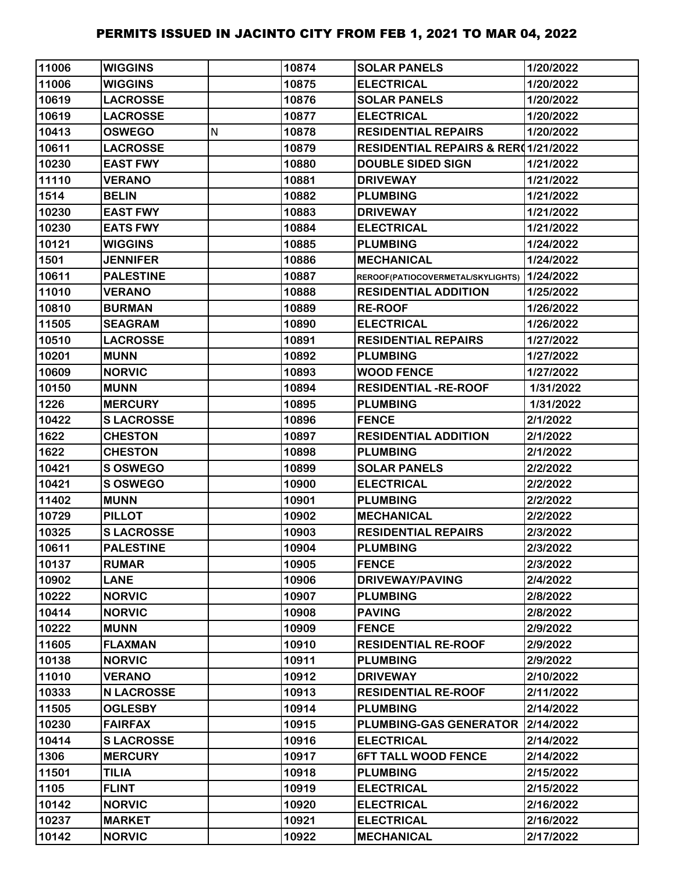| 11006 | <b>WIGGINS</b>    |   | 10874 | <b>SOLAR PANELS</b>                            | 1/20/2022 |
|-------|-------------------|---|-------|------------------------------------------------|-----------|
| 11006 | <b>WIGGINS</b>    |   | 10875 | <b>ELECTRICAL</b>                              | 1/20/2022 |
| 10619 | <b>LACROSSE</b>   |   | 10876 | <b>SOLAR PANELS</b>                            | 1/20/2022 |
| 10619 | <b>LACROSSE</b>   |   | 10877 | <b>ELECTRICAL</b>                              | 1/20/2022 |
| 10413 | <b>OSWEGO</b>     | N | 10878 | <b>RESIDENTIAL REPAIRS</b>                     | 1/20/2022 |
| 10611 | <b>LACROSSE</b>   |   | 10879 | <b>RESIDENTIAL REPAIRS &amp; RER01/21/2022</b> |           |
| 10230 | <b>EAST FWY</b>   |   | 10880 | <b>DOUBLE SIDED SIGN</b>                       | 1/21/2022 |
| 11110 | <b>VERANO</b>     |   | 10881 | <b>DRIVEWAY</b>                                | 1/21/2022 |
| 1514  | <b>BELIN</b>      |   | 10882 | <b>PLUMBING</b>                                | 1/21/2022 |
| 10230 | <b>EAST FWY</b>   |   | 10883 | <b>DRIVEWAY</b>                                | 1/21/2022 |
| 10230 | <b>EATS FWY</b>   |   | 10884 | <b>ELECTRICAL</b>                              | 1/21/2022 |
| 10121 | <b>WIGGINS</b>    |   | 10885 | <b>PLUMBING</b>                                | 1/24/2022 |
| 1501  | <b>JENNIFER</b>   |   | 10886 | <b>MECHANICAL</b>                              | 1/24/2022 |
| 10611 | <b>PALESTINE</b>  |   | 10887 | REROOF(PATIOCOVERMETAL/SKYLIGHTS)              | 1/24/2022 |
| 11010 | <b>VERANO</b>     |   | 10888 | <b>RESIDENTIAL ADDITION</b>                    | 1/25/2022 |
| 10810 | <b>BURMAN</b>     |   | 10889 | <b>RE-ROOF</b>                                 | 1/26/2022 |
| 11505 | <b>SEAGRAM</b>    |   | 10890 | <b>ELECTRICAL</b>                              | 1/26/2022 |
| 10510 | <b>LACROSSE</b>   |   | 10891 | <b>RESIDENTIAL REPAIRS</b>                     | 1/27/2022 |
| 10201 | <b>MUNN</b>       |   | 10892 | <b>PLUMBING</b>                                | 1/27/2022 |
| 10609 | <b>NORVIC</b>     |   | 10893 | <b>WOOD FENCE</b>                              | 1/27/2022 |
| 10150 | <b>MUNN</b>       |   | 10894 | <b>RESIDENTIAL -RE-ROOF</b>                    | 1/31/2022 |
| 1226  | <b>MERCURY</b>    |   | 10895 | <b>PLUMBING</b>                                | 1/31/2022 |
| 10422 | <b>SLACROSSE</b>  |   | 10896 | <b>FENCE</b>                                   | 2/1/2022  |
| 1622  | <b>CHESTON</b>    |   | 10897 | <b>RESIDENTIAL ADDITION</b>                    | 2/1/2022  |
| 1622  | <b>CHESTON</b>    |   | 10898 | <b>PLUMBING</b>                                | 2/1/2022  |
| 10421 | S OSWEGO          |   | 10899 | <b>SOLAR PANELS</b>                            | 2/2/2022  |
| 10421 | S OSWEGO          |   | 10900 | <b>ELECTRICAL</b>                              | 2/2/2022  |
| 11402 | <b>MUNN</b>       |   | 10901 | <b>PLUMBING</b>                                | 2/2/2022  |
| 10729 | <b>PILLOT</b>     |   | 10902 | <b>MECHANICAL</b>                              | 2/2/2022  |
| 10325 | <b>SLACROSSE</b>  |   | 10903 | <b>RESIDENTIAL REPAIRS</b>                     | 2/3/2022  |
| 10611 | <b>PALESTINE</b>  |   | 10904 | <b>PLUMBING</b>                                | 2/3/2022  |
| 10137 | <b>RUMAR</b>      |   | 10905 | <b>FENCE</b>                                   | 2/3/2022  |
| 10902 | <b>LANE</b>       |   | 10906 | <b>DRIVEWAY/PAVING</b>                         | 2/4/2022  |
| 10222 | <b>NORVIC</b>     |   | 10907 | <b>PLUMBING</b>                                | 2/8/2022  |
| 10414 | <b>NORVIC</b>     |   | 10908 | <b>PAVING</b>                                  | 2/8/2022  |
| 10222 | <b>MUNN</b>       |   | 10909 | <b>FENCE</b>                                   | 2/9/2022  |
| 11605 | <b>FLAXMAN</b>    |   | 10910 | <b>RESIDENTIAL RE-ROOF</b>                     | 2/9/2022  |
| 10138 | <b>NORVIC</b>     |   | 10911 | <b>PLUMBING</b>                                | 2/9/2022  |
| 11010 | <b>VERANO</b>     |   | 10912 | <b>DRIVEWAY</b>                                | 2/10/2022 |
| 10333 | <b>N LACROSSE</b> |   | 10913 | <b>RESIDENTIAL RE-ROOF</b>                     | 2/11/2022 |
| 11505 | <b>OGLESBY</b>    |   | 10914 | <b>PLUMBING</b>                                | 2/14/2022 |
| 10230 | <b>FAIRFAX</b>    |   | 10915 | PLUMBING-GAS GENERATOR                         | 2/14/2022 |
| 10414 | <b>SLACROSSE</b>  |   | 10916 | <b>ELECTRICAL</b>                              | 2/14/2022 |
| 1306  | <b>MERCURY</b>    |   | 10917 | <b>6FT TALL WOOD FENCE</b>                     | 2/14/2022 |
| 11501 | <b>TILIA</b>      |   | 10918 | <b>PLUMBING</b>                                | 2/15/2022 |
| 1105  | <b>FLINT</b>      |   | 10919 | <b>ELECTRICAL</b>                              | 2/15/2022 |
| 10142 | <b>NORVIC</b>     |   | 10920 | <b>ELECTRICAL</b>                              | 2/16/2022 |
| 10237 | <b>MARKET</b>     |   | 10921 | <b>ELECTRICAL</b>                              | 2/16/2022 |
| 10142 | <b>NORVIC</b>     |   | 10922 | <b>MECHANICAL</b>                              | 2/17/2022 |